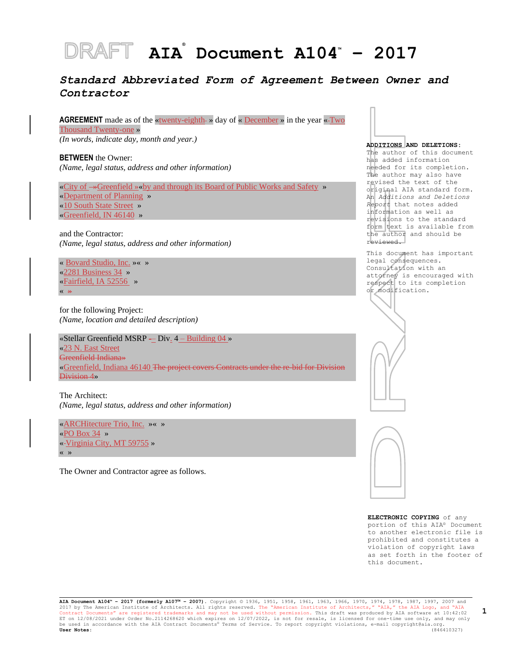# **AIA ® Document A104™ – 2017**

# *Standard Abbreviated Form of Agreement Between Owner and Contractor*

**AGREEMENT** made as of the «twenty-eighth-» day of « December » in the year «-Two Thousand Twenty-one »

*(In words, indicate day, month and year.)*

**BETWEEN** the Owner: *(Name, legal status, address and other information)*

«City of »Greenfield »«by and through its Board of Public Works and Safety » «Department of Planning » «10 South State Street » «Greenfield, IN 46140 »

and the Contractor: *(Name, legal status, address and other information)*

« Bovard Studio, Inc. »« » «2281 Business 34 » «Fairfield, IA 52556 » « »

for the following Project: *(Name, location and detailed description)*

«Stellar Greenfield MSRP  $-$  Div.  $4 -$  Building 04 » «23 N. East Street Greenfield Indiana» «Greenfield, Indiana 46140 The project covers Contracts under the re-bid for Division Division 4»

The Architect: *(Name, legal status, address and other information)*

«ARCHitecture Trio, Inc. »« » «PO Box 34 » « Virginia City, MT 59755 » « »

The Owner and Contractor agree as follows.

#### **ADDITIONS AND DELETIONS:**

The author of this document has added information needed for its completion. The author may also have revised the text of the original AIA standard form. An *Additions and Deletions Report* that notes added information as well as revisions to the standard form text is available from the author and should be reviewed.

This document has important legal consequences. Consultation with an attorney is encouraged with respect to its completion or modification.





**ELECTRONIC COPYING** of any portion of this AIA® Document to another electronic file is prohibited and constitutes a violation of copyright laws as set forth in the footer of this document.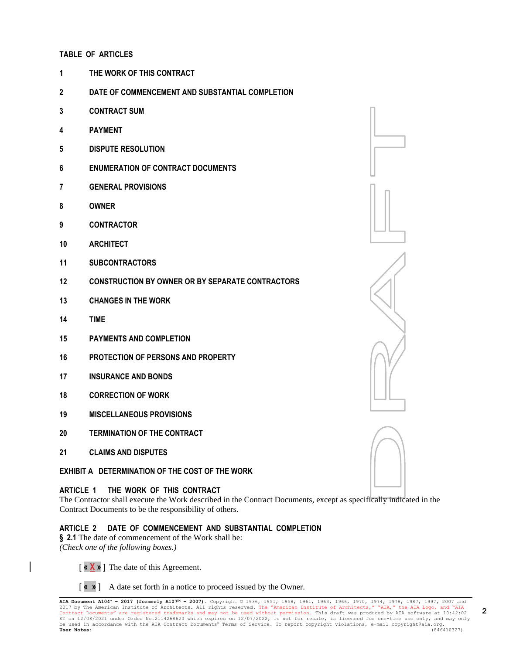#### **TABLE OF ARTICLES**

- **THE WORK OF THIS CONTRACT**
- **DATE OF COMMENCEMENT AND SUBSTANTIAL COMPLETION**
- **CONTRACT SUM**
- **PAYMENT**
- **DISPUTE RESOLUTION**
- **ENUMERATION OF CONTRACT DOCUMENTS**
- **GENERAL PROVISIONS**
- **OWNER**
- **CONTRACTOR**
- **ARCHITECT**
- **SUBCONTRACTORS**
- **CONSTRUCTION BY OWNER OR BY SEPARATE CONTRACTORS**
- **CHANGES IN THE WORK**
- **TIME**
- **PAYMENTS AND COMPLETION**
- **PROTECTION OF PERSONS AND PROPERTY**
- **INSURANCE AND BONDS**
- **CORRECTION OF WORK**
- **MISCELLANEOUS PROVISIONS**
- **TERMINATION OF THE CONTRACT**
- **CLAIMS AND DISPUTES**

# **EXHIBIT A DETERMINATION OF THE COST OF THE WORK**

# **ARTICLE 1 THE WORK OF THIS CONTRACT**

The Contractor shall execute the Work described in the Contract Documents, except as specifically indicated in the Contract Documents to be the responsibility of others.

# **ARTICLE 2 DATE OF COMMENCEMENT AND SUBSTANTIAL COMPLETION**

**§ 2.1** The date of commencement of the Work shall be: *(Check one of the following boxes.)*



[ **« »** ] A date set forth in a notice to proceed issued by the Owner.

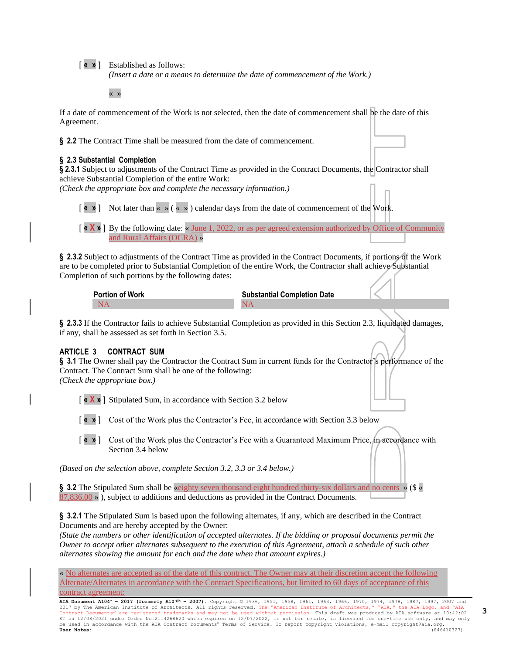[ **« »** ] Established as follows:

*(Insert a date or a means to determine the date of commencement of the Work.)*

« »

If a date of commencement of the Work is not selected, then the date of commencement shall be the date of this Agreement.

**§ 2.2** The Contract Time shall be measured from the date of commencement.

#### **§ 2.3 Substantial Completion**

**§ 2.3.1** Subject to adjustments of the Contract Time as provided in the Contract Documents, the Contractor shall achieve Substantial Completion of the entire Work:

*(Check the appropriate box and complete the necessary information.)*

[ **« »** ] Not later than « » ( « » ) calendar days from the date of commencement of the Work.

[ **« X »** ] By the following date: « June 1, 2022, or as per agreed extension authorized by Office of Community and Rural Affairs (OCRA) »

**§ 2.3.2** Subject to adjustments of the Contract Time as provided in the Contract Documents, if portions of the Work are to be completed prior to Substantial Completion of the entire Work, the Contractor shall achieve Substantial Completion of such portions by the following dates:

| <b>Portion of Work</b> | <b>Substantial Completion Date</b> |
|------------------------|------------------------------------|
|                        |                                    |

**§ 2.3.3** If the Contractor fails to achieve Substantial Completion as provided in this Section 2.3, liquidated damages, if any, shall be assessed as set forth in Section 3.5.

#### **ARTICLE 3 CONTRACT SUM**

**§ 3.1** The Owner shall pay the Contractor the Contract Sum in current funds for the Contractor's performance of the Contract. The Contract Sum shall be one of the following: *(Check the appropriate box.)*

[ **« X »** ] Stipulated Sum, in accordance with Section 3.2 below

[ **« »** ] Cost of the Work plus the Contractor's Fee, in accordance with Section 3.3 below

[ **« »** ] Cost of the Work plus the Contractor's Fee with a Guaranteed Maximum Price, in accordance with Section 3.4 below

*(Based on the selection above, complete Section 3.2, 3.3 or 3.4 below.)*

**§ 3.2** The Stipulated Sum shall be «eighty seven thousand eight hundred thirty-six dollars and no cents » (\$ «  $87,836.00 \rightarrow$ ), subject to additions and deductions as provided in the Contract Documents.

**§ 3.2.1** The Stipulated Sum is based upon the following alternates, if any, which are described in the Contract Documents and are hereby accepted by the Owner:

*(State the numbers or other identification of accepted alternates. If the bidding or proposal documents permit the Owner to accept other alternates subsequent to the execution of this Agreement, attach a schedule of such other alternates showing the amount for each and the date when that amount expires.)*

« No alternates are accepted as of the date of this contract. The Owner may at their discretion accept the following Alternate/Alternates in accordance with the Contract Specifications, but limited to 60 days of acceptance of this contract agreement: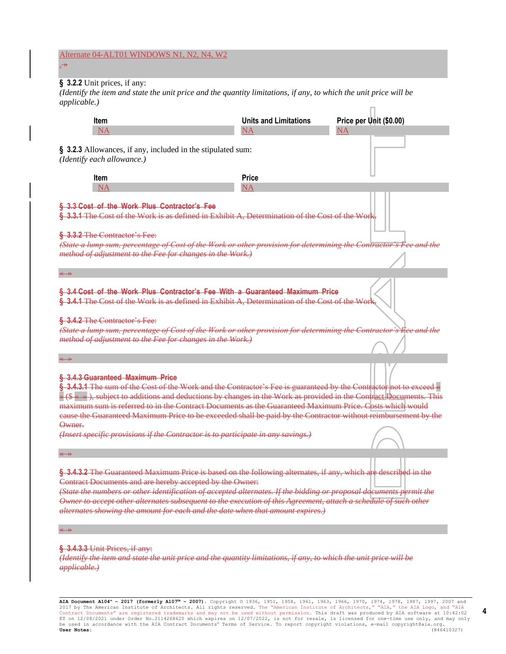#### Alternate 04-ALT01 WINDOWS N1, N2, N4, W2 . »

# **§ 3.2.2** Unit prices, if any:

*(Identify the item and state the unit price and the quantity limitations, if any, to which the unit price will be applicable.)*

| <b>Item</b><br><b>NA</b>                                                                                                                                                                                                                                                                                                                                                                                                                                                                                                                                                                                                | <b>Units and Limitations</b><br>ΝA | Price per Unit (\$0.00)<br>NA |  |  |  |  |
|-------------------------------------------------------------------------------------------------------------------------------------------------------------------------------------------------------------------------------------------------------------------------------------------------------------------------------------------------------------------------------------------------------------------------------------------------------------------------------------------------------------------------------------------------------------------------------------------------------------------------|------------------------------------|-------------------------------|--|--|--|--|
| § 3.2.3 Allowances, if any, included in the stipulated sum:<br>(Identify each allowance.)                                                                                                                                                                                                                                                                                                                                                                                                                                                                                                                               |                                    |                               |  |  |  |  |
| <b>Item</b>                                                                                                                                                                                                                                                                                                                                                                                                                                                                                                                                                                                                             | <b>Price</b>                       |                               |  |  |  |  |
| <b>NA</b>                                                                                                                                                                                                                                                                                                                                                                                                                                                                                                                                                                                                               | NA                                 |                               |  |  |  |  |
| § 3.3 Cost of the Work Plus Contractor's Fee<br>§ 3.3.1 The Cost of the Work is as defined in Exhibit A, Determination of the Cost of the Work.                                                                                                                                                                                                                                                                                                                                                                                                                                                                         |                                    |                               |  |  |  |  |
| § 3.3.2 The Contractor's Fee:<br>(State a lump sum, percentage of Cost of the Work or other provision for determining the Contractor's Fee and the<br>method of adjustment to the Fee for changes in the Work.)                                                                                                                                                                                                                                                                                                                                                                                                         |                                    |                               |  |  |  |  |
|                                                                                                                                                                                                                                                                                                                                                                                                                                                                                                                                                                                                                         |                                    |                               |  |  |  |  |
| § 3.4 Cost of the Work Plus Contractor's Fee With a Guaranteed Maximum Price<br>§ 3.4.1 The Cost of the Work is as defined in Exhibit A, Determination of the Cost of the Work.<br>§ 3.4.2 The Contractor's Fee:<br>(State a lump sum, percentage of Cost of the Work or other provision for determining the Contractor's Fee and the<br>method of adjustment to the Fee for changes in the Work.)                                                                                                                                                                                                                      |                                    |                               |  |  |  |  |
| § 3.4.3 Guaranteed Maximum Price<br>§ 3.4.3.1 The sum of the Cost of the Work and the Contractor's Fee is guaranteed by the Contractor not to exceed «<br>$\ast$ (\$ $\ast$ $\ast$ ), subject to additions and deductions by changes in the Work as provided in the Contract Documents. This<br>maximum sum is referred to in the Contract Documents as the Guaranteed Maximum Price. Costs which would<br>eause the Guaranteed Maximum Price to be exceeded shall be paid by the Contractor without reimbursement by the<br>Owner.<br>(Insert specific provisions if the Contractor is to participate in any savings.) |                                    |                               |  |  |  |  |
|                                                                                                                                                                                                                                                                                                                                                                                                                                                                                                                                                                                                                         |                                    |                               |  |  |  |  |
| § 3.4.3.2 The Guaranteed Maximum Price is based on the following alternates, if any, which are described in the<br>Contract Documents and are hereby accepted by the Owner:<br>(State the numbers or other identification of accepted alternates. If the bidding or proposal documents permit the<br>Owner to accept other alternates subsequent to the execution of this Agreement, attach a schedule of such other<br>alternates showing the amount for each and the date when that amount expires.)                                                                                                                  |                                    |                               |  |  |  |  |
|                                                                                                                                                                                                                                                                                                                                                                                                                                                                                                                                                                                                                         |                                    |                               |  |  |  |  |
| § 3.4.3.3 Unit Prices, if any:<br>(Identify the item and state the unit price and the quantity limitations, if any, to which the unit price will be<br>applicable.)                                                                                                                                                                                                                                                                                                                                                                                                                                                     |                                    |                               |  |  |  |  |

**AIA Document A104™ – 2017 (formerly A107™ – 2007).** Copyright © 1936, 1951, 1958, 1961, 1963, 1966, 1970, 1974, 1978, 1987, 1997, 2007 and 2017 by The American Institute of Architects. All rights reserved. The "American Institute of Architects," "AIA," the AIA Logo, and "AIA<br>Contract Documents" are registered trademarks and may not be used without permission.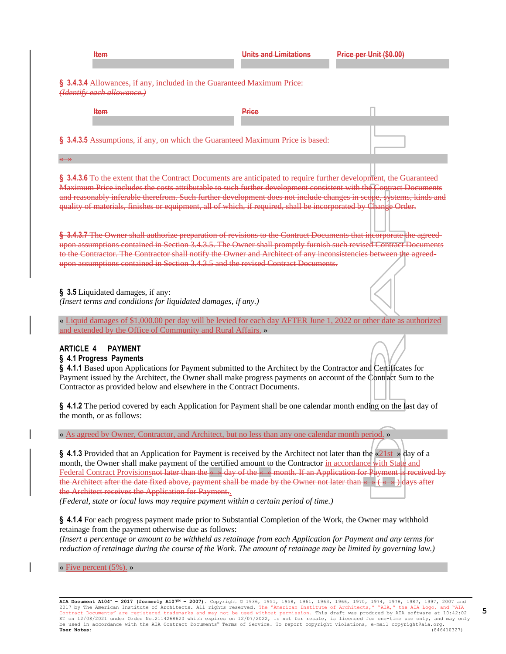| <b>Item</b>                                                                                                                                                                                                                                                                                                                                                                                                                                                                                                                                                                                                                                                                                                                                                                                                                                                                                                                                                                                                                                                                                                                                                                                    | <b>Units and Limitations</b> | Price per Unit (\$0.00) |  |  |
|------------------------------------------------------------------------------------------------------------------------------------------------------------------------------------------------------------------------------------------------------------------------------------------------------------------------------------------------------------------------------------------------------------------------------------------------------------------------------------------------------------------------------------------------------------------------------------------------------------------------------------------------------------------------------------------------------------------------------------------------------------------------------------------------------------------------------------------------------------------------------------------------------------------------------------------------------------------------------------------------------------------------------------------------------------------------------------------------------------------------------------------------------------------------------------------------|------------------------------|-------------------------|--|--|
| § 3.4.3.4 Allowances, if any, included in the Guaranteed Maximum Price:<br>(Identify each allowance.)                                                                                                                                                                                                                                                                                                                                                                                                                                                                                                                                                                                                                                                                                                                                                                                                                                                                                                                                                                                                                                                                                          |                              |                         |  |  |
| <b>Item</b>                                                                                                                                                                                                                                                                                                                                                                                                                                                                                                                                                                                                                                                                                                                                                                                                                                                                                                                                                                                                                                                                                                                                                                                    | Price                        |                         |  |  |
| § 3.4.3.5 Assumptions, if any, on which the Guaranteed Maximum Price is based:                                                                                                                                                                                                                                                                                                                                                                                                                                                                                                                                                                                                                                                                                                                                                                                                                                                                                                                                                                                                                                                                                                                 |                              |                         |  |  |
| § 3.4.3.6 To the extent that the Contract Documents are anticipated to require further development, the Guaranteed<br>Maximum Price includes the costs attributable to such further development consistent with the Contract Documents<br>and reasonably inferable therefrom. Such further development does not include changes in scope, systems, kinds and<br>quality of materials, finishes or equipment, all of which, if required, shall be incorporated by Change Order.                                                                                                                                                                                                                                                                                                                                                                                                                                                                                                                                                                                                                                                                                                                 |                              |                         |  |  |
| § 3.4.3.7 The Owner shall authorize preparation of revisions to the Contract Documents that incorporate the agreed-<br>upon assumptions contained in Section 3.4.3.5. The Owner shall promptly furnish such revised Contract Documents<br>to the Contractor. The Contractor shall notify the Owner and Architect of any inconsistencies between the agreed-<br>upon assumptions contained in Section 3.4.3.5 and the revised Contract Documents.                                                                                                                                                                                                                                                                                                                                                                                                                                                                                                                                                                                                                                                                                                                                               |                              |                         |  |  |
| § 3.5 Liquidated damages, if any:<br>(Insert terms and conditions for liquidated damages, if any.)                                                                                                                                                                                                                                                                                                                                                                                                                                                                                                                                                                                                                                                                                                                                                                                                                                                                                                                                                                                                                                                                                             |                              |                         |  |  |
| « Liquid damages of \$1,000.00 per day will be levied for each day AFTER June 1, 2022 or other date as authorized<br>and extended by the Office of Community and Rural Affairs. »                                                                                                                                                                                                                                                                                                                                                                                                                                                                                                                                                                                                                                                                                                                                                                                                                                                                                                                                                                                                              |                              |                         |  |  |
| <b>ARTICLE 4</b><br><b>PAYMENT</b><br>§ 4.1 Progress Payments<br>§ 4.1.1 Based upon Applications for Payment submitted to the Architect by the Contractor and Certificates for<br>Payment issued by the Architect, the Owner shall make progress payments on account of the Contract Sum to the<br>Contractor as provided below and elsewhere in the Contract Documents.                                                                                                                                                                                                                                                                                                                                                                                                                                                                                                                                                                                                                                                                                                                                                                                                                       |                              |                         |  |  |
| § 4.1.2 The period covered by each Application for Payment shall be one calendar month ending on the last day of<br>the month, or as follows:                                                                                                                                                                                                                                                                                                                                                                                                                                                                                                                                                                                                                                                                                                                                                                                                                                                                                                                                                                                                                                                  |                              |                         |  |  |
| « As agreed by Owner, Contractor, and Architect, but no less than any one calendar month period. »<br>§ 4.1.3 Provided that an Application for Payment is received by the Architect not later than the « $21st \rightarrow day$ of a<br>month, the Owner shall make payment of the certified amount to the Contractor in accordance with State and<br>Federal Contract Provisions not later than the « » day of the « » month. If an Application for Payment is received by<br>the Architect after the date fixed above, payment shall be made by the Owner not later than $\longleftrightarrow$ ( $\longleftrightarrow$ ) days after<br>the Architect receives the Application for Payment.<br>(Federal, state or local laws may require payment within a certain period of time.)<br>§ 4.1.4 For each progress payment made prior to Substantial Completion of the Work, the Owner may withhold<br>retainage from the payment otherwise due as follows:<br>(Insert a percentage or amount to be withheld as retainage from each Application for Payment and any terms for<br>reduction of retainage during the course of the Work. The amount of retainage may be limited by governing law.) |                              |                         |  |  |
| « Five percent $(5\%)$ . »                                                                                                                                                                                                                                                                                                                                                                                                                                                                                                                                                                                                                                                                                                                                                                                                                                                                                                                                                                                                                                                                                                                                                                     |                              |                         |  |  |

AIA Document A104" - 2017 (formerly A107" - 2007). Copyright © 1936, 1951, 1958, 1961, 1963, 1966, 1970, 1974, 1978, 1987, 1997, 2007 and<br>2017 by The American Institute of Architects. All rights reserved. The "American Ins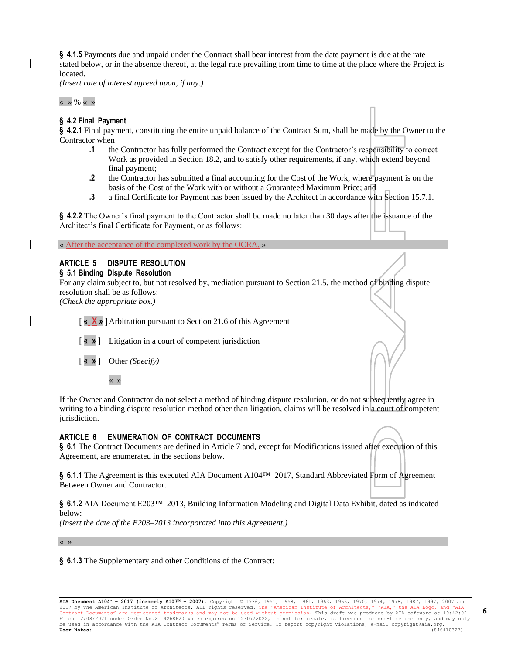**§ 4.1.5** Payments due and unpaid under the Contract shall bear interest from the date payment is due at the rate stated below, or in the absence thereof, at the legal rate prevailing from time to time at the place where the Project is located.

*(Insert rate of interest agreed upon, if any.)*

 $\langle \cdot \rangle \rightarrow \frac{9}{6} \langle \cdot \rangle \rightarrow$ 

#### **§ 4.2 Final Payment**

**§ 4.2.1** Final payment, constituting the entire unpaid balance of the Contract Sum, shall be made by the Owner to the Contractor when

- **.1** the Contractor has fully performed the Contract except for the Contractor's responsibility to correct Work as provided in Section 18.2, and to satisfy other requirements, if any, which extend beyond final payment;
- **.2** the Contractor has submitted a final accounting for the Cost of the Work, where payment is on the basis of the Cost of the Work with or without a Guaranteed Maximum Price; and
- **.3** a final Certificate for Payment has been issued by the Architect in accordance with Section 15.7.1.

**§ 4.2.2** The Owner's final payment to the Contractor shall be made no later than 30 days after the issuance of the Architect's final Certificate for Payment, or as follows:

« After the acceptance of the completed work by the OCRA. »

# **ARTICLE 5 DISPUTE RESOLUTION**

#### **§ 5.1 Binding Dispute Resolution**

For any claim subject to, but not resolved by, mediation pursuant to Section 21.5, the method of binding dispute resolution shall be as follows:

*(Check the appropriate box.)*

[ **« X »** ]Arbitration pursuant to Section 21.6 of this Agreement

- [ **« »** ] Litigation in a court of competent jurisdiction
- [ **« »** ] Other *(Specify)*

« »

If the Owner and Contractor do not select a method of binding dispute resolution, or do not subsequently agree in writing to a binding dispute resolution method other than litigation, claims will be resolved in a court of competent jurisdiction.

#### **ARTICLE 6 ENUMERATION OF CONTRACT DOCUMENTS**

**§ 6.1** The Contract Documents are defined in Article 7 and, except for Modifications issued after execution of this Agreement, are enumerated in the sections below.

§ **6.1.1** The Agreement is this executed AIA Document A104<sup>™</sup>–2017, Standard Abbreviated Form of Agreement Between Owner and Contractor.

**§ 6.1.2** AIA Document E203™–2013, Building Information Modeling and Digital Data Exhibit, dated as indicated below:

*(Insert the date of the E203–2013 incorporated into this Agreement.)*

« »

**§ 6.1.3** The Supplementary and other Conditions of the Contract: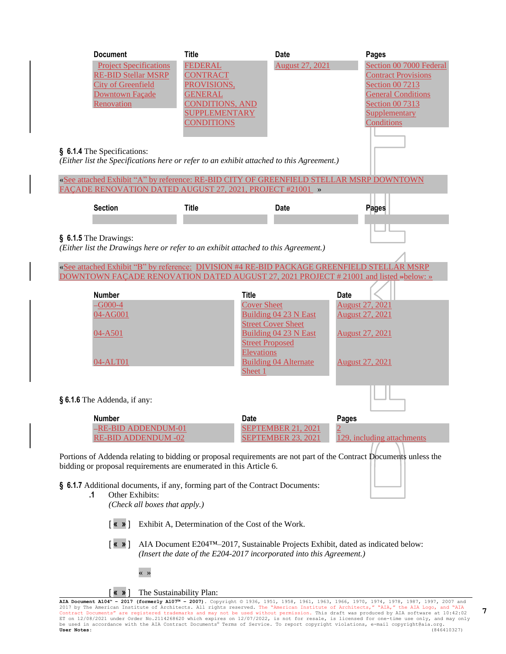| <b>Document</b><br><b>Project Specifications</b><br><b>RE-BID Stellar MSRP</b><br><b>City of Greenfield</b><br>Downtown Façade<br>Renovation                                                                                                                                    | <b>Title</b><br><b>FEDERAL</b><br><b>CONTRACT</b><br>PROVISIONS,<br><b>GENERAL</b><br><b>CONDITIONS, AND</b><br><b>SUPPLEMENTARY</b><br><b>CONDITIONS</b> | <b>Date</b><br><b>August 27, 2021</b>                                                                                                 | Pages<br>Section 00 7000 Federal<br><b>Contract Provisions</b><br>Section 00 7213<br><b>General Conditions</b><br>Section 00 7313<br>Supplementary<br>Conditions |  |  |  |  |
|---------------------------------------------------------------------------------------------------------------------------------------------------------------------------------------------------------------------------------------------------------------------------------|-----------------------------------------------------------------------------------------------------------------------------------------------------------|---------------------------------------------------------------------------------------------------------------------------------------|------------------------------------------------------------------------------------------------------------------------------------------------------------------|--|--|--|--|
| § 6.1.4 The Specifications:<br>(Either list the Specifications here or refer to an exhibit attached to this Agreement.)<br>«See attached Exhibit "A" by reference: RE-BID CITY OF GREENFIELD STELLAR MSRP DOWNTOWN<br>FACADE RENOVATION DATED AUGUST 27, 2021, PROJECT #21001 » |                                                                                                                                                           |                                                                                                                                       |                                                                                                                                                                  |  |  |  |  |
| <b>Section</b>                                                                                                                                                                                                                                                                  | <b>Title</b>                                                                                                                                              | <b>Date</b>                                                                                                                           | <b>Pages</b>                                                                                                                                                     |  |  |  |  |
| § 6.1.5 The Drawings:<br>(Either list the Drawings here or refer to an exhibit attached to this Agreement.)<br>«See attached Exhibit "B" by reference: DIVISION #4 RE-BID PACKAGE GREENFIELD STELLAR MSRP                                                                       |                                                                                                                                                           |                                                                                                                                       |                                                                                                                                                                  |  |  |  |  |
| DOWNTOWN FAÇADE RENOVATION DATED AUGUST 27, 2021 PROJECT # 21001 and listed »below: »<br><b>Number</b>                                                                                                                                                                          | <b>Title</b>                                                                                                                                              |                                                                                                                                       | Date                                                                                                                                                             |  |  |  |  |
| $-G000-4$<br>04-AG001<br>04-A501<br>04-ALT01                                                                                                                                                                                                                                    | <b>Cover Sheet</b><br><b>Elevations</b><br>Sheet 1                                                                                                        | Building 04 23 N East<br><b>Street Cover Sheet</b><br>Building 04 23 N East<br><b>Street Proposed</b><br><b>Building 04 Alternate</b> | <b>August 27, 2021</b><br><b>August 27, 2021</b><br><b>August 27, 2021</b><br><b>August 27, 2021</b>                                                             |  |  |  |  |
| § 6.1.6 The Addenda, if any:                                                                                                                                                                                                                                                    |                                                                                                                                                           |                                                                                                                                       |                                                                                                                                                                  |  |  |  |  |
| <b>Number</b><br><u>-RE-BID ADDENDUM-01</u><br><b>RE-BID ADDENDUM -02</b>                                                                                                                                                                                                       | <b>Date</b>                                                                                                                                               | <b>SEPTEMBER 21, 2021</b><br><b>SEPTEMBER 23, 2021</b>                                                                                | Pages<br>129, including attachments                                                                                                                              |  |  |  |  |
| Portions of Addenda relating to bidding or proposal requirements are not part of the Contract Documents unless the<br>bidding or proposal requirements are enumerated in this Article 6.                                                                                        |                                                                                                                                                           |                                                                                                                                       |                                                                                                                                                                  |  |  |  |  |
| § 6.1.7 Additional documents, if any, forming part of the Contract Documents:<br>Other Exhibits:<br>.1<br>(Check all boxes that apply.)<br>[ «  » ]<br>Exhibit A, Determination of the Cost of the Work.                                                                        |                                                                                                                                                           |                                                                                                                                       |                                                                                                                                                                  |  |  |  |  |

[ **« »** ] AIA Document E204™–2017, Sustainable Projects Exhibit, dated as indicated below: *(Insert the date of the E204-2017 incorporated into this Agreement.)*



« »

AIA Document A104" - 2017 (formerly A107" - 2007). Copyright © 1936, 1951, 1958, 1961, 1963, 1966, 1970, 1974, 1978, 1987, 1997, 2007 and<br>2017 by The American Institute of Architects. All rights reserved. The "American Ins

**7**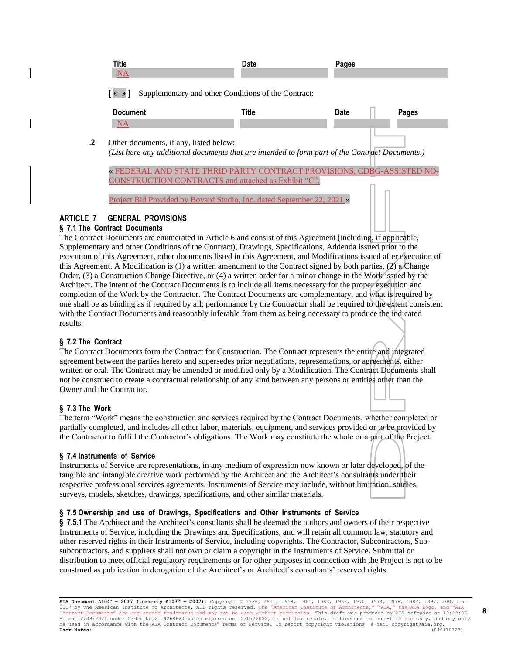| Title<br><b>NA</b>                                                                                | <b>Date</b> | Pages |       |
|---------------------------------------------------------------------------------------------------|-------------|-------|-------|
| $\lceil \kappa \rangle$<br>Supplementary and other Conditions of the Contract:<br><b>Document</b> | Title       | Date  | Pages |
| <b>NA</b>                                                                                         |             |       |       |
|                                                                                                   |             |       |       |

**.2** Other documents, if any, listed below: *(List here any additional documents that are intended to form part of the Contract Documents.)*

« FEDERAL AND STATE THRID PARTY CONTRACT PROVISIONS, CDBG-ASSISTED NO-CONSTRUCTION CONTRACTS and attached as Exhibit "C".

Project Bid Provided by Bovard Studio, Inc. dated September 22, 2021 »

### **ARTICLE 7 GENERAL PROVISIONS**

#### **§ 7.1 The Contract Documents**

The Contract Documents are enumerated in Article 6 and consist of this Agreement (including, if applicable, Supplementary and other Conditions of the Contract), Drawings, Specifications, Addenda issued prior to the execution of this Agreement, other documents listed in this Agreement, and Modifications issued after execution of this Agreement. A Modification is (1) a written amendment to the Contract signed by both parties, (2) a Change Order, (3) a Construction Change Directive, or (4) a written order for a minor change in the Work issued by the Architect. The intent of the Contract Documents is to include all items necessary for the proper execution and completion of the Work by the Contractor. The Contract Documents are complementary, and what is required by one shall be as binding as if required by all; performance by the Contractor shall be required to the extent consistent with the Contract Documents and reasonably inferable from them as being necessary to produce the indicated results.

# **§ 7.2 The Contract**

The Contract Documents form the Contract for Construction. The Contract represents the entire and integrated agreement between the parties hereto and supersedes prior negotiations, representations, or agreements, either written or oral. The Contract may be amended or modified only by a Modification. The Contract Documents shall not be construed to create a contractual relationship of any kind between any persons or entities other than the Owner and the Contractor.

# **§ 7.3 The Work**

The term "Work" means the construction and services required by the Contract Documents, whether completed or partially completed, and includes all other labor, materials, equipment, and services provided or to be provided by the Contractor to fulfill the Contractor's obligations. The Work may constitute the whole or a part of the Project.

#### **§ 7.4 Instruments of Service**

Instruments of Service are representations, in any medium of expression now known or later developed, of the tangible and intangible creative work performed by the Architect and the Architect's consultants under their respective professional services agreements. Instruments of Service may include, without limitation, studies, surveys, models, sketches, drawings, specifications, and other similar materials.

### **§ 7.5 Ownership and use of Drawings, Specifications and Other Instruments of Service**

**§ 7.5.1** The Architect and the Architect's consultants shall be deemed the authors and owners of their respective Instruments of Service, including the Drawings and Specifications, and will retain all common law, statutory and other reserved rights in their Instruments of Service, including copyrights. The Contractor, Subcontractors, Subsubcontractors, and suppliers shall not own or claim a copyright in the Instruments of Service. Submittal or distribution to meet official regulatory requirements or for other purposes in connection with the Project is not to be construed as publication in derogation of the Architect's or Architect's consultants' reserved rights.

**AIA Document A104™ – 2017 (formerly A107™ – 2007).** Copyright © 1936, 1951, 1958, 1961, 1963, 1966, 1970, 1974, 1978, 1987, 1997, 2007 and 2017 by The American Institute of Architects. All rights reserved. The "American Institute of Architects," "AIA," the AIA Logo, and "AIA<br>Contract Documents" are registered trademarks and may not be used without permission. Contract Documents" are registered trademarks and may not be used without permission. This draft was produced by AIA software at 10:42:02<br>ET on 12/08/2021 under Order No.2114268620 which expires on 12/07/2022, is not for r be used in accordance with the AIA Contract Documents® Terms of Service. To report copyright violations, e-mail copyright@aia.org.<br> **User Notes:** (846410327) **User Notes:** (846410327)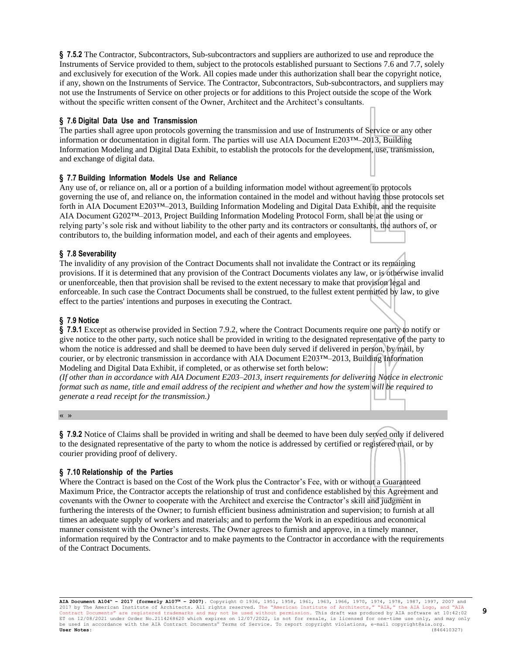**§ 7.5.2** The Contractor, Subcontractors, Sub-subcontractors and suppliers are authorized to use and reproduce the Instruments of Service provided to them, subject to the protocols established pursuant to Sections 7.6 and 7.7, solely and exclusively for execution of the Work. All copies made under this authorization shall bear the copyright notice, if any, shown on the Instruments of Service. The Contractor, Subcontractors, Sub-subcontractors, and suppliers may not use the Instruments of Service on other projects or for additions to this Project outside the scope of the Work without the specific written consent of the Owner, Architect and the Architect's consultants.

#### **§ 7.6 Digital Data Use and Transmission**

The parties shall agree upon protocols governing the transmission and use of Instruments of Service or any other information or documentation in digital form. The parties will use AIA Document E203™–2013, Building Information Modeling and Digital Data Exhibit, to establish the protocols for the development, use, transmission, and exchange of digital data.

#### **§ 7.7 Building Information Models Use and Reliance**

Any use of, or reliance on, all or a portion of a building information model without agreement to protocols governing the use of, and reliance on, the information contained in the model and without having those protocols set forth in AIA Document E203™–2013, Building Information Modeling and Digital Data Exhibit, and the requisite AIA Document G202™–2013, Project Building Information Modeling Protocol Form, shall be at the using or relying party's sole risk and without liability to the other party and its contractors or consultants, the authors of, or contributors to, the building information model, and each of their agents and employees.

#### **§ 7.8 Severability**

The invalidity of any provision of the Contract Documents shall not invalidate the Contract or its remaining provisions. If it is determined that any provision of the Contract Documents violates any law, or is otherwise invalid or unenforceable, then that provision shall be revised to the extent necessary to make that provision legal and enforceable. In such case the Contract Documents shall be construed, to the fullest extent permitted by law, to give effect to the parties' intentions and purposes in executing the Contract.

#### **§ 7.9 Notice**

**§ 7.9.1** Except as otherwise provided in Section 7.9.2, where the Contract Documents require one party to notify or give notice to the other party, such notice shall be provided in writing to the designated representative of the party to whom the notice is addressed and shall be deemed to have been duly served if delivered in person, by mail, by courier, or by electronic transmission in accordance with AIA Document E203™–2013, Building Information Modeling and Digital Data Exhibit, if completed, or as otherwise set forth below:

*(If other than in accordance with AIA Document E203–2013, insert requirements for delivering Notice in electronic format such as name, title and email address of the recipient and whether and how the system will be required to generate a read receipt for the transmission.)*

« »

**§ 7.9.2** Notice of Claims shall be provided in writing and shall be deemed to have been duly served only if delivered to the designated representative of the party to whom the notice is addressed by certified or registered mail, or by courier providing proof of delivery.

#### **§ 7.10 Relationship of the Parties**

Where the Contract is based on the Cost of the Work plus the Contractor's Fee, with or without a Guaranteed Maximum Price, the Contractor accepts the relationship of trust and confidence established by this Agreement and covenants with the Owner to cooperate with the Architect and exercise the Contractor's skill and judgment in furthering the interests of the Owner; to furnish efficient business administration and supervision; to furnish at all times an adequate supply of workers and materials; and to perform the Work in an expeditious and economical manner consistent with the Owner's interests. The Owner agrees to furnish and approve, in a timely manner, information required by the Contractor and to make payments to the Contractor in accordance with the requirements of the Contract Documents.

**AIA Document A104™ – 2017 (formerly A107™ – 2007).** Copyright © 1936, 1951, 1958, 1961, 1963, 1966, 1970, 1974, 1978, 1987, 1997, 2007 and 2017 by The American Institute of Architects. All rights reserved. The "American Institute of Architects," "AIA," the AIA Logo, and "AIA<br>Contract Documents" are registered trademarks and may not be used without permission. Contract Documents" are registered trademarks and may not be used without permission. This draft was produced by AIA software at 10:42:02<br>ET on 12/08/2021 under Order No.2114268620 which expires on 12/07/2022, is not for r be used in accordance with the AIA Contract Documents® Terms of Service. To report copyright violations, e-mail copyright@aia.org.<br> **User Notes:** (846410327) **User Notes:** (846410327)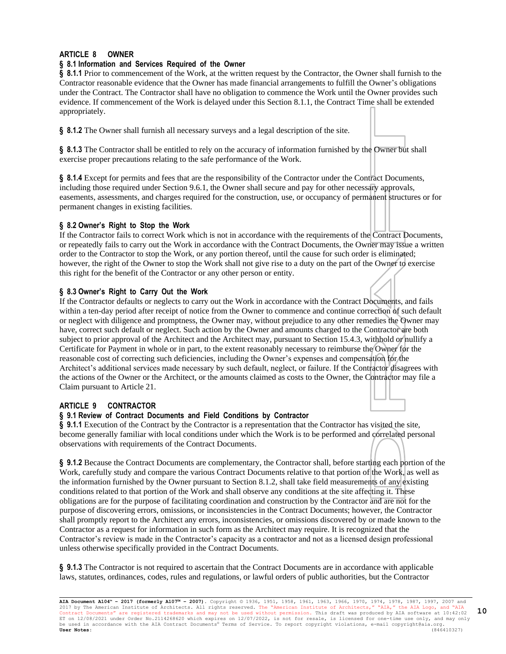# **ARTICLE 8 OWNER**

#### **§ 8.1 Information and Services Required of the Owner**

**§ 8.1.1** Prior to commencement of the Work, at the written request by the Contractor, the Owner shall furnish to the Contractor reasonable evidence that the Owner has made financial arrangements to fulfill the Owner's obligations under the Contract. The Contractor shall have no obligation to commence the Work until the Owner provides such evidence. If commencement of the Work is delayed under this Section 8.1.1, the Contract Time shall be extended appropriately.

**§ 8.1.2** The Owner shall furnish all necessary surveys and a legal description of the site.

**§ 8.1.3** The Contractor shall be entitled to rely on the accuracy of information furnished by the Owner but shall exercise proper precautions relating to the safe performance of the Work.

**§ 8.1.4** Except for permits and fees that are the responsibility of the Contractor under the Contract Documents, including those required under Section 9.6.1, the Owner shall secure and pay for other necessary approvals, easements, assessments, and charges required for the construction, use, or occupancy of permanent structures or for permanent changes in existing facilities.

### **§ 8.2 Owner's Right to Stop the Work**

If the Contractor fails to correct Work which is not in accordance with the requirements of the Contract Documents, or repeatedly fails to carry out the Work in accordance with the Contract Documents, the Owner may issue a written order to the Contractor to stop the Work, or any portion thereof, until the cause for such order is eliminated; however, the right of the Owner to stop the Work shall not give rise to a duty on the part of the Owner to exercise this right for the benefit of the Contractor or any other person or entity.

### **§ 8.3 Owner's Right to Carry Out the Work**

If the Contractor defaults or neglects to carry out the Work in accordance with the Contract Documents, and fails within a ten-day period after receipt of notice from the Owner to commence and continue correction of such default or neglect with diligence and promptness, the Owner may, without prejudice to any other remedies the Owner may have, correct such default or neglect. Such action by the Owner and amounts charged to the Contractor are both subject to prior approval of the Architect and the Architect may, pursuant to Section 15.4.3, withhold or nullify a Certificate for Payment in whole or in part, to the extent reasonably necessary to reimburse the Owner for the reasonable cost of correcting such deficiencies, including the Owner's expenses and compensation for the Architect's additional services made necessary by such default, neglect, or failure. If the Contractor disagrees with the actions of the Owner or the Architect, or the amounts claimed as costs to the Owner, the Contractor may file a Claim pursuant to Article 21.

#### **ARTICLE 9 CONTRACTOR**

#### **§ 9.1 Review of Contract Documents and Field Conditions by Contractor**

**§ 9.1.1** Execution of the Contract by the Contractor is a representation that the Contractor has visited the site, become generally familiar with local conditions under which the Work is to be performed and correlated personal observations with requirements of the Contract Documents.

**§ 9.1.2** Because the Contract Documents are complementary, the Contractor shall, before starting each portion of the Work, carefully study and compare the various Contract Documents relative to that portion of the Work, as well as the information furnished by the Owner pursuant to Section 8.1.2, shall take field measurements of any existing conditions related to that portion of the Work and shall observe any conditions at the site affecting it. These obligations are for the purpose of facilitating coordination and construction by the Contractor and are not for the purpose of discovering errors, omissions, or inconsistencies in the Contract Documents; however, the Contractor shall promptly report to the Architect any errors, inconsistencies, or omissions discovered by or made known to the Contractor as a request for information in such form as the Architect may require. It is recognized that the Contractor's review is made in the Contractor's capacity as a contractor and not as a licensed design professional unless otherwise specifically provided in the Contract Documents.

**§ 9.1.3** The Contractor is not required to ascertain that the Contract Documents are in accordance with applicable laws, statutes, ordinances, codes, rules and regulations, or lawful orders of public authorities, but the Contractor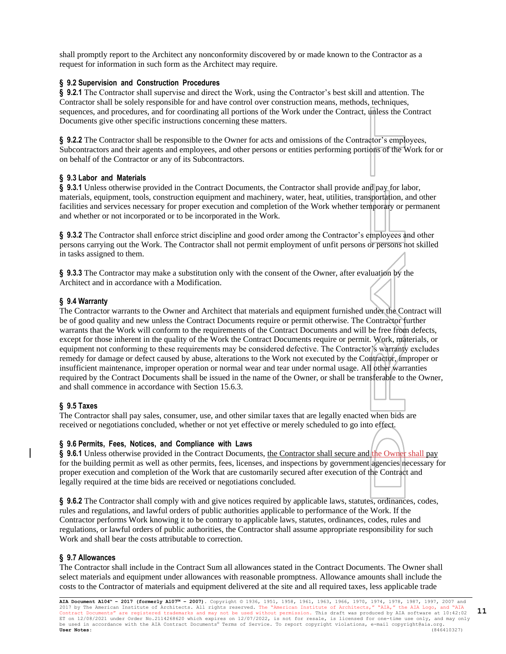shall promptly report to the Architect any nonconformity discovered by or made known to the Contractor as a request for information in such form as the Architect may require.

#### **§ 9.2 Supervision and Construction Procedures**

**§ 9.2.1** The Contractor shall supervise and direct the Work, using the Contractor's best skill and attention. The Contractor shall be solely responsible for and have control over construction means, methods, techniques, sequences, and procedures, and for coordinating all portions of the Work under the Contract, unless the Contract Documents give other specific instructions concerning these matters.

**§ 9.2.2** The Contractor shall be responsible to the Owner for acts and omissions of the Contractor's employees, Subcontractors and their agents and employees, and other persons or entities performing portions of the Work for or on behalf of the Contractor or any of its Subcontractors.

### **§ 9.3 Labor and Materials**

**§ 9.3.1** Unless otherwise provided in the Contract Documents, the Contractor shall provide and pay for labor, materials, equipment, tools, construction equipment and machinery, water, heat, utilities, transportation, and other facilities and services necessary for proper execution and completion of the Work whether temporary or permanent and whether or not incorporated or to be incorporated in the Work.

**§ 9.3.2** The Contractor shall enforce strict discipline and good order among the Contractor's employees and other persons carrying out the Work. The Contractor shall not permit employment of unfit persons or persons not skilled in tasks assigned to them.

**§ 9.3.3** The Contractor may make a substitution only with the consent of the Owner, after evaluation by the Architect and in accordance with a Modification.

# **§ 9.4 Warranty**

The Contractor warrants to the Owner and Architect that materials and equipment furnished under the Contract will be of good quality and new unless the Contract Documents require or permit otherwise. The Contractor further warrants that the Work will conform to the requirements of the Contract Documents and will be free from defects, except for those inherent in the quality of the Work the Contract Documents require or permit. Work, materials, or equipment not conforming to these requirements may be considered defective. The Contractor's warranty excludes remedy for damage or defect caused by abuse, alterations to the Work not executed by the Contractor, improper or insufficient maintenance, improper operation or normal wear and tear under normal usage. All other warranties required by the Contract Documents shall be issued in the name of the Owner, or shall be transferable to the Owner, and shall commence in accordance with Section 15.6.3.

#### **§ 9.5 Taxes**

The Contractor shall pay sales, consumer, use, and other similar taxes that are legally enacted when bids are received or negotiations concluded, whether or not yet effective or merely scheduled to go into effect.

#### **§ 9.6 Permits, Fees, Notices, and Compliance with Laws**

§ 9.6.1 Unless otherwise provided in the Contract Documents, the Contractor shall secure and the Owner shall pay for the building permit as well as other permits, fees, licenses, and inspections by government agencies necessary for proper execution and completion of the Work that are customarily secured after execution of the Contract and legally required at the time bids are received or negotiations concluded.

**§ 9.6.2** The Contractor shall comply with and give notices required by applicable laws, statutes, ordinances, codes, rules and regulations, and lawful orders of public authorities applicable to performance of the Work. If the Contractor performs Work knowing it to be contrary to applicable laws, statutes, ordinances, codes, rules and regulations, or lawful orders of public authorities, the Contractor shall assume appropriate responsibility for such Work and shall bear the costs attributable to correction.

#### **§ 9.7 Allowances**

The Contractor shall include in the Contract Sum all allowances stated in the Contract Documents. The Owner shall select materials and equipment under allowances with reasonable promptness. Allowance amounts shall include the costs to the Contractor of materials and equipment delivered at the site and all required taxes, less applicable trade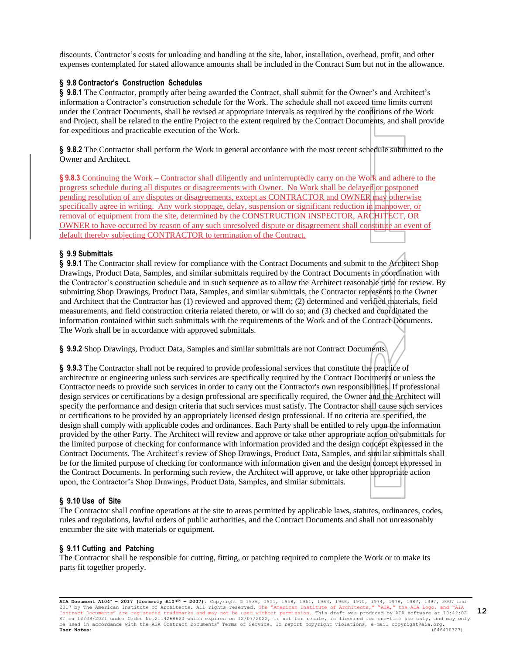discounts. Contractor's costs for unloading and handling at the site, labor, installation, overhead, profit, and other expenses contemplated for stated allowance amounts shall be included in the Contract Sum but not in the allowance.

#### **§ 9.8 Contractor's Construction Schedules**

**§ 9.8.1** The Contractor, promptly after being awarded the Contract, shall submit for the Owner's and Architect's information a Contractor's construction schedule for the Work. The schedule shall not exceed time limits current under the Contract Documents, shall be revised at appropriate intervals as required by the conditions of the Work and Project, shall be related to the entire Project to the extent required by the Contract Documents, and shall provide for expeditious and practicable execution of the Work.

**§ 9.8.2** The Contractor shall perform the Work in general accordance with the most recent schedule submitted to the Owner and Architect.

**§ 9.8.3** Continuing the Work – Contractor shall diligently and uninterruptedly carry on the Work and adhere to the progress schedule during all disputes or disagreements with Owner. No Work shall be delayed or postponed pending resolution of any disputes or disagreements, except as CONTRACTOR and OWNER may otherwise specifically agree in writing. Any work stoppage, delay, suspension or significant reduction in manpower, or removal of equipment from the site, determined by the CONSTRUCTION INSPECTOR, ARCHITECT, OR OWNER to have occurred by reason of any such unresolved dispute or disagreement shall constitute an event of default thereby subjecting CONTRACTOR to termination of the Contract.

#### **§ 9.9 Submittals**

**§ 9.9.1** The Contractor shall review for compliance with the Contract Documents and submit to the Architect Shop Drawings, Product Data, Samples, and similar submittals required by the Contract Documents in coordination with the Contractor's construction schedule and in such sequence as to allow the Architect reasonable time for review. By submitting Shop Drawings, Product Data, Samples, and similar submittals, the Contractor represents to the Owner and Architect that the Contractor has (1) reviewed and approved them; (2) determined and verified materials, field measurements, and field construction criteria related thereto, or will do so; and (3) checked and coordinated the information contained within such submittals with the requirements of the Work and of the Contract Documents. The Work shall be in accordance with approved submittals.

**§ 9.9.2** Shop Drawings, Product Data, Samples and similar submittals are not Contract Documents.

**§ 9.9.3** The Contractor shall not be required to provide professional services that constitute the practice of architecture or engineering unless such services are specifically required by the Contract Documents or unless the Contractor needs to provide such services in order to carry out the Contractor's own responsibilities. If professional design services or certifications by a design professional are specifically required, the Owner and the Architect will specify the performance and design criteria that such services must satisfy. The Contractor shall cause such services or certifications to be provided by an appropriately licensed design professional. If no criteria are specified, the design shall comply with applicable codes and ordinances. Each Party shall be entitled to rely upon the information provided by the other Party. The Architect will review and approve or take other appropriate action on submittals for the limited purpose of checking for conformance with information provided and the design concept expressed in the Contract Documents. The Architect's review of Shop Drawings, Product Data, Samples, and similar submittals shall be for the limited purpose of checking for conformance with information given and the design concept expressed in the Contract Documents. In performing such review, the Architect will approve, or take other appropriate action upon, the Contractor's Shop Drawings, Product Data, Samples, and similar submittals.

#### **§ 9.10 Use of Site**

The Contractor shall confine operations at the site to areas permitted by applicable laws, statutes, ordinances, codes, rules and regulations, lawful orders of public authorities, and the Contract Documents and shall not unreasonably encumber the site with materials or equipment.

#### **§ 9.11 Cutting and Patching**

The Contractor shall be responsible for cutting, fitting, or patching required to complete the Work or to make its parts fit together properly.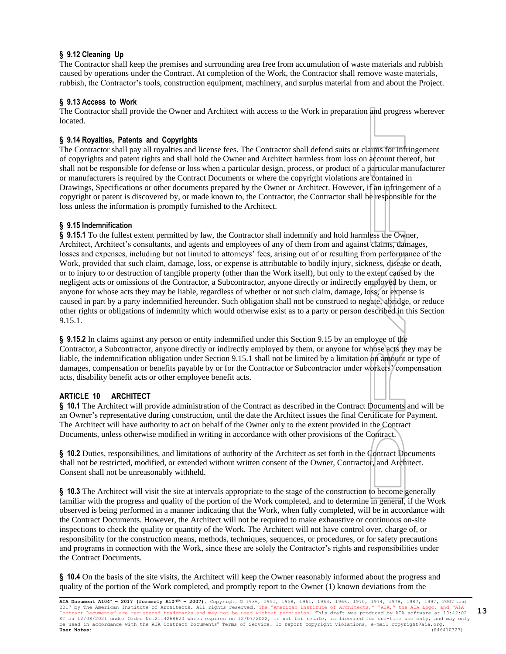# **§ 9.12 Cleaning Up**

The Contractor shall keep the premises and surrounding area free from accumulation of waste materials and rubbish caused by operations under the Contract. At completion of the Work, the Contractor shall remove waste materials, rubbish, the Contractor's tools, construction equipment, machinery, and surplus material from and about the Project.

# **§ 9.13 Access to Work**

The Contractor shall provide the Owner and Architect with access to the Work in preparation and progress wherever located.

# **§ 9.14 Royalties, Patents and Copyrights**

The Contractor shall pay all royalties and license fees. The Contractor shall defend suits or claims for infringement of copyrights and patent rights and shall hold the Owner and Architect harmless from loss on account thereof, but shall not be responsible for defense or loss when a particular design, process, or product of a particular manufacturer or manufacturers is required by the Contract Documents or where the copyright violations are contained in Drawings, Specifications or other documents prepared by the Owner or Architect. However, if an infringement of a copyright or patent is discovered by, or made known to, the Contractor, the Contractor shall be responsible for the loss unless the information is promptly furnished to the Architect.

# **§ 9.15 Indemnification**

**§ 9.15.1** To the fullest extent permitted by law, the Contractor shall indemnify and hold harmless the Owner, Architect, Architect's consultants, and agents and employees of any of them from and against claims, damages, losses and expenses, including but not limited to attorneys' fees, arising out of or resulting from performance of the Work, provided that such claim, damage, loss, or expense is attributable to bodily injury, sickness, disease or death, or to injury to or destruction of tangible property (other than the Work itself), but only to the extent caused by the negligent acts or omissions of the Contractor, a Subcontractor, anyone directly or indirectly employed by them, or anyone for whose acts they may be liable, regardless of whether or not such claim, damage, loss, or expense is caused in part by a party indemnified hereunder. Such obligation shall not be construed to negate, abridge, or reduce other rights or obligations of indemnity which would otherwise exist as to a party or person described in this Section 9.15.1.

**§ 9.15.2** In claims against any person or entity indemnified under this Section 9.15 by an employee of the Contractor, a Subcontractor, anyone directly or indirectly employed by them, or anyone for whose acts they may be liable, the indemnification obligation under Section 9.15.1 shall not be limited by a limitation on amount or type of damages, compensation or benefits payable by or for the Contractor or Subcontractor under workers'/compensation acts, disability benefit acts or other employee benefit acts.

# **ARTICLE 10 ARCHITECT**

**§ 10.1** The Architect will provide administration of the Contract as described in the Contract Documents and will be an Owner's representative during construction, until the date the Architect issues the final Certificate for Payment. The Architect will have authority to act on behalf of the Owner only to the extent provided in the Contract Documents, unless otherwise modified in writing in accordance with other provisions of the Contract.

**§ 10.2** Duties, responsibilities, and limitations of authority of the Architect as set forth in the Contract Documents shall not be restricted, modified, or extended without written consent of the Owner, Contractor, and Architect. Consent shall not be unreasonably withheld.

**§ 10.3** The Architect will visit the site at intervals appropriate to the stage of the construction to become generally familiar with the progress and quality of the portion of the Work completed, and to determine in general, if the Work observed is being performed in a manner indicating that the Work, when fully completed, will be in accordance with the Contract Documents. However, the Architect will not be required to make exhaustive or continuous on-site inspections to check the quality or quantity of the Work. The Architect will not have control over, charge of, or responsibility for the construction means, methods, techniques, sequences, or procedures, or for safety precautions and programs in connection with the Work, since these are solely the Contractor's rights and responsibilities under the Contract Documents.

**§ 10.4** On the basis of the site visits, the Architect will keep the Owner reasonably informed about the progress and quality of the portion of the Work completed, and promptly report to the Owner (1) known deviations from the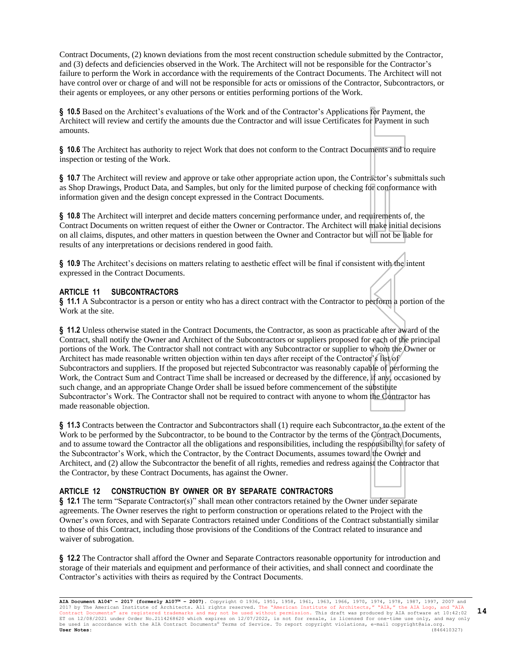Contract Documents, (2) known deviations from the most recent construction schedule submitted by the Contractor, and (3) defects and deficiencies observed in the Work. The Architect will not be responsible for the Contractor's failure to perform the Work in accordance with the requirements of the Contract Documents. The Architect will not have control over or charge of and will not be responsible for acts or omissions of the Contractor, Subcontractors, or their agents or employees, or any other persons or entities performing portions of the Work.

**§ 10.5** Based on the Architect's evaluations of the Work and of the Contractor's Applications for Payment, the Architect will review and certify the amounts due the Contractor and will issue Certificates for Payment in such amounts.

**§ 10.6** The Architect has authority to reject Work that does not conform to the Contract Documents and to require inspection or testing of the Work.

**§ 10.7** The Architect will review and approve or take other appropriate action upon, the Contractor's submittals such as Shop Drawings, Product Data, and Samples, but only for the limited purpose of checking for conformance with information given and the design concept expressed in the Contract Documents.

**§ 10.8** The Architect will interpret and decide matters concerning performance under, and requirements of, the Contract Documents on written request of either the Owner or Contractor. The Architect will make initial decisions on all claims, disputes, and other matters in question between the Owner and Contractor but will not be liable for results of any interpretations or decisions rendered in good faith.

**§ 10.9** The Architect's decisions on matters relating to aesthetic effect will be final if consistent with the intent expressed in the Contract Documents.

#### **ARTICLE 11 SUBCONTRACTORS**

**§ 11.1** A Subcontractor is a person or entity who has a direct contract with the Contractor to perform a portion of the Work at the site.

**§ 11.2** Unless otherwise stated in the Contract Documents, the Contractor, as soon as practicable after award of the Contract, shall notify the Owner and Architect of the Subcontractors or suppliers proposed for each of the principal portions of the Work. The Contractor shall not contract with any Subcontractor or supplier to whom the Owner or Architect has made reasonable written objection within ten days after receipt of the Contractor's list of Subcontractors and suppliers. If the proposed but rejected Subcontractor was reasonably capable of performing the Work, the Contract Sum and Contract Time shall be increased or decreased by the difference, if any, occasioned by such change, and an appropriate Change Order shall be issued before commencement of the substitute Subcontractor's Work. The Contractor shall not be required to contract with anyone to whom the Contractor has made reasonable objection.

**§ 11.3** Contracts between the Contractor and Subcontractors shall (1) require each Subcontractor, to the extent of the Work to be performed by the Subcontractor, to be bound to the Contractor by the terms of the Contract Documents, and to assume toward the Contractor all the obligations and responsibilities, including the responsibility for safety of the Subcontractor's Work, which the Contractor, by the Contract Documents, assumes toward the Owner and Architect, and (2) allow the Subcontractor the benefit of all rights, remedies and redress against the Contractor that the Contractor, by these Contract Documents, has against the Owner.

# **ARTICLE 12 CONSTRUCTION BY OWNER OR BY SEPARATE CONTRACTORS**

**§ 12.1** The term "Separate Contractor(s)" shall mean other contractors retained by the Owner under separate agreements. The Owner reserves the right to perform construction or operations related to the Project with the Owner's own forces, and with Separate Contractors retained under Conditions of the Contract substantially similar to those of this Contract, including those provisions of the Conditions of the Contract related to insurance and waiver of subrogation.

**§ 12.2** The Contractor shall afford the Owner and Separate Contractors reasonable opportunity for introduction and storage of their materials and equipment and performance of their activities, and shall connect and coordinate the Contractor's activities with theirs as required by the Contract Documents.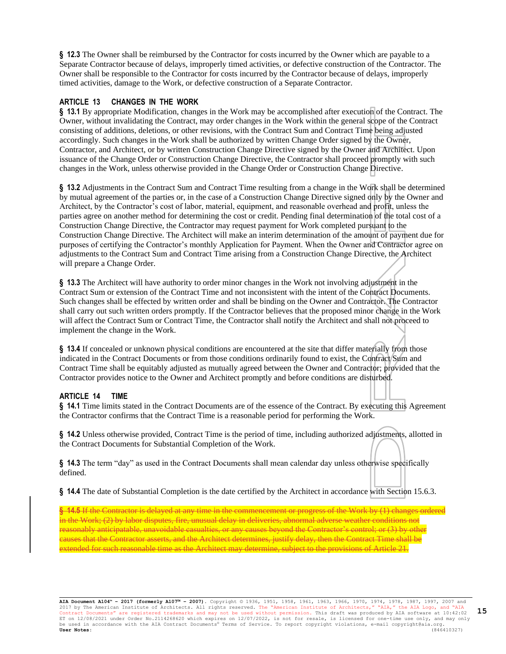**§ 12.3** The Owner shall be reimbursed by the Contractor for costs incurred by the Owner which are payable to a Separate Contractor because of delays, improperly timed activities, or defective construction of the Contractor. The Owner shall be responsible to the Contractor for costs incurred by the Contractor because of delays, improperly timed activities, damage to the Work, or defective construction of a Separate Contractor.

### **ARTICLE 13 CHANGES IN THE WORK**

**§ 13.1** By appropriate Modification, changes in the Work may be accomplished after execution of the Contract. The Owner, without invalidating the Contract, may order changes in the Work within the general scope of the Contract consisting of additions, deletions, or other revisions, with the Contract Sum and Contract Time being adjusted accordingly. Such changes in the Work shall be authorized by written Change Order signed by the Owner, Contractor, and Architect, or by written Construction Change Directive signed by the Owner and Architect. Upon issuance of the Change Order or Construction Change Directive, the Contractor shall proceed promptly with such changes in the Work, unless otherwise provided in the Change Order or Construction Change Directive.

**§ 13.2** Adjustments in the Contract Sum and Contract Time resulting from a change in the Work shall be determined by mutual agreement of the parties or, in the case of a Construction Change Directive signed only by the Owner and Architect, by the Contractor's cost of labor, material, equipment, and reasonable overhead and profit, unless the parties agree on another method for determining the cost or credit. Pending final determination of the total cost of a Construction Change Directive, the Contractor may request payment for Work completed pursuant to the Construction Change Directive. The Architect will make an interim determination of the amount of payment due for purposes of certifying the Contractor's monthly Application for Payment. When the Owner and Contractor agree on adjustments to the Contract Sum and Contract Time arising from a Construction Change Directive, the Architect will prepare a Change Order.

**§ 13.3** The Architect will have authority to order minor changes in the Work not involving adjustment in the Contract Sum or extension of the Contract Time and not inconsistent with the intent of the Contract Documents. Such changes shall be effected by written order and shall be binding on the Owner and Contractor. The Contractor shall carry out such written orders promptly. If the Contractor believes that the proposed minor change in the Work will affect the Contract Sum or Contract Time, the Contractor shall notify the Architect and shall not proceed to implement the change in the Work.

**§ 13.4** If concealed or unknown physical conditions are encountered at the site that differ materially from those indicated in the Contract Documents or from those conditions ordinarily found to exist, the Contract Sum and Contract Time shall be equitably adjusted as mutually agreed between the Owner and Contractor; provided that the Contractor provides notice to the Owner and Architect promptly and before conditions are disturbed.

#### **ARTICLE 14 TIME**

**§ 14.1** Time limits stated in the Contract Documents are of the essence of the Contract. By executing this Agreement the Contractor confirms that the Contract Time is a reasonable period for performing the Work.

**§ 14.2** Unless otherwise provided, Contract Time is the period of time, including authorized adjustments, allotted in the Contract Documents for Substantial Completion of the Work.

**§ 14.3** The term "day" as used in the Contract Documents shall mean calendar day unless otherwise specifically defined.

**§ 14.4** The date of Substantial Completion is the date certified by the Architect in accordance with Section 15.6.3.

**§ 14.5** If the Contractor is delayed at any time in the commencement or progress of the Work by (1) changes ordered in the Work; (2) by labor disputes, fire, unusual delay in deliveries, abnormal adverse weather conditions not reasonably anticipatable, unavoidable casualties, or any causes beyond the Contractor's control; or (3) by other causes that the Contractor asserts, and the Architect determines, justify delay, then the Contract Time shall be extended for such reasonable time as the Architect may determine, subject to the provisions of Article 21.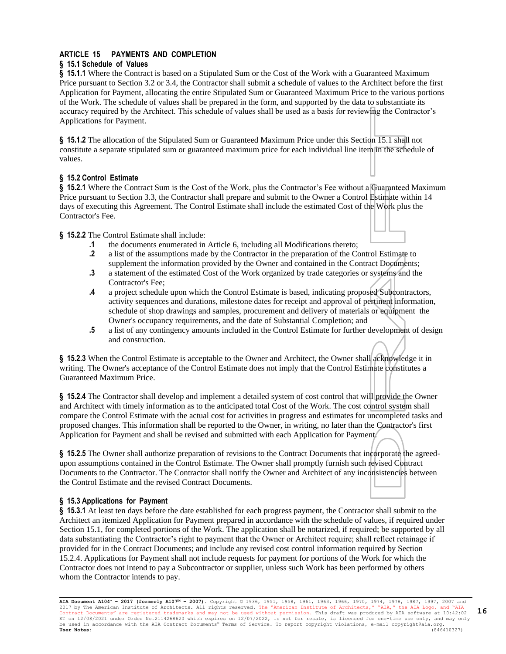# **ARTICLE 15 PAYMENTS AND COMPLETION**

# **§ 15.1 Schedule of Values**

**§ 15.1.1** Where the Contract is based on a Stipulated Sum or the Cost of the Work with a Guaranteed Maximum Price pursuant to Section 3.2 or 3.4, the Contractor shall submit a schedule of values to the Architect before the first Application for Payment, allocating the entire Stipulated Sum or Guaranteed Maximum Price to the various portions of the Work. The schedule of values shall be prepared in the form, and supported by the data to substantiate its accuracy required by the Architect. This schedule of values shall be used as a basis for reviewing the Contractor's Applications for Payment.

**§ 15.1.2** The allocation of the Stipulated Sum or Guaranteed Maximum Price under this Section 15.1 shall not constitute a separate stipulated sum or guaranteed maximum price for each individual line item in the schedule of values.

### **§ 15.2 Control Estimate**

**§ 15.2.1** Where the Contract Sum is the Cost of the Work, plus the Contractor's Fee without a Guaranteed Maximum Price pursuant to Section 3.3, the Contractor shall prepare and submit to the Owner a Control Estimate within 14 days of executing this Agreement. The Control Estimate shall include the estimated Cost of the Work plus the Contractor's Fee.

**§ 15.2.2** The Control Estimate shall include:

- **.1** the documents enumerated in Article 6, including all Modifications thereto;
- **.2** a list of the assumptions made by the Contractor in the preparation of the Control Estimate to supplement the information provided by the Owner and contained in the Contract Documents;
- **.3** a statement of the estimated Cost of the Work organized by trade categories or systems and the Contractor's Fee;
- **.4** a project schedule upon which the Control Estimate is based, indicating proposed Subcontractors, activity sequences and durations, milestone dates for receipt and approval of pertinent information, schedule of shop drawings and samples, procurement and delivery of materials or equipment the Owner's occupancy requirements, and the date of Substantial Completion; and
- **.5** a list of any contingency amounts included in the Control Estimate for further development of design and construction.

**§ 15.2.3** When the Control Estimate is acceptable to the Owner and Architect, the Owner shall acknowledge it in writing. The Owner's acceptance of the Control Estimate does not imply that the Control Estimate constitutes a Guaranteed Maximum Price.

**§ 15.2.4** The Contractor shall develop and implement a detailed system of cost control that will provide the Owner and Architect with timely information as to the anticipated total Cost of the Work. The cost control system shall compare the Control Estimate with the actual cost for activities in progress and estimates for uncompleted tasks and proposed changes. This information shall be reported to the Owner, in writing, no later than the Contractor's first Application for Payment and shall be revised and submitted with each Application for Payment.

**§ 15.2.5** The Owner shall authorize preparation of revisions to the Contract Documents that incorporate the agreedupon assumptions contained in the Control Estimate. The Owner shall promptly furnish such revised Contract Documents to the Contractor. The Contractor shall notify the Owner and Architect of any inconsistencies between the Control Estimate and the revised Contract Documents.

# **§ 15.3 Applications for Payment**

**§ 15.3.1** At least ten days before the date established for each progress payment, the Contractor shall submit to the Architect an itemized Application for Payment prepared in accordance with the schedule of values, if required under Section 15.1, for completed portions of the Work. The application shall be notarized, if required; be supported by all data substantiating the Contractor's right to payment that the Owner or Architect require; shall reflect retainage if provided for in the Contract Documents; and include any revised cost control information required by Section 15.2.4. Applications for Payment shall not include requests for payment for portions of the Work for which the Contractor does not intend to pay a Subcontractor or supplier, unless such Work has been performed by others whom the Contractor intends to pay.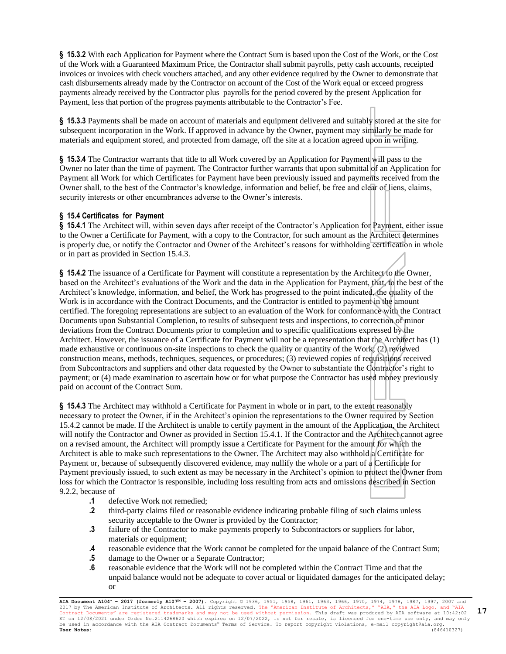**§ 15.3.2** With each Application for Payment where the Contract Sum is based upon the Cost of the Work, or the Cost of the Work with a Guaranteed Maximum Price, the Contractor shall submit payrolls, petty cash accounts, receipted invoices or invoices with check vouchers attached, and any other evidence required by the Owner to demonstrate that cash disbursements already made by the Contractor on account of the Cost of the Work equal or exceed progress payments already received by the Contractor plus payrolls for the period covered by the present Application for Payment, less that portion of the progress payments attributable to the Contractor's Fee.

**§ 15.3.3** Payments shall be made on account of materials and equipment delivered and suitably stored at the site for subsequent incorporation in the Work. If approved in advance by the Owner, payment may similarly be made for materials and equipment stored, and protected from damage, off the site at a location agreed upon in writing.

**§ 15.3.4** The Contractor warrants that title to all Work covered by an Application for Payment will pass to the Owner no later than the time of payment. The Contractor further warrants that upon submittal of an Application for Payment all Work for which Certificates for Payment have been previously issued and payments received from the Owner shall, to the best of the Contractor's knowledge, information and belief, be free and clear of liens, claims, security interests or other encumbrances adverse to the Owner's interests.

### **§ 15.4 Certificates for Payment**

**§ 15.4.1** The Architect will, within seven days after receipt of the Contractor's Application for Payment, either issue to the Owner a Certificate for Payment, with a copy to the Contractor, for such amount as the Architect determines is properly due, or notify the Contractor and Owner of the Architect's reasons for withholding certification in whole or in part as provided in Section 15.4.3.

§ **15.4.2** The issuance of a Certificate for Payment will constitute a representation by the Architect to the Owner, based on the Architect's evaluations of the Work and the data in the Application for Payment, that, to the best of the Architect's knowledge, information, and belief, the Work has progressed to the point indicated, the quality of the Work is in accordance with the Contract Documents, and the Contractor is entitled to payment in the amount certified. The foregoing representations are subject to an evaluation of the Work for conformance with the Contract Documents upon Substantial Completion, to results of subsequent tests and inspections, to correction of minor deviations from the Contract Documents prior to completion and to specific qualifications expressed by the Architect. However, the issuance of a Certificate for Payment will not be a representation that the Architect has (1) made exhaustive or continuous on-site inspections to check the quality or quantity of the Work; (2) reviewed construction means, methods, techniques, sequences, or procedures; (3) reviewed copies of requisitions received from Subcontractors and suppliers and other data requested by the Owner to substantiate the Contractor's right to payment; or (4) made examination to ascertain how or for what purpose the Contractor has used money previously paid on account of the Contract Sum.

**§ 15.4.3** The Architect may withhold a Certificate for Payment in whole or in part, to the extent reasonably necessary to protect the Owner, if in the Architect's opinion the representations to the Owner required by Section 15.4.2 cannot be made. If the Architect is unable to certify payment in the amount of the Application, the Architect will notify the Contractor and Owner as provided in Section 15.4.1. If the Contractor and the Architect cannot agree on a revised amount, the Architect will promptly issue a Certificate for Payment for the amount for which the Architect is able to make such representations to the Owner. The Architect may also withhold a Certificate for Payment or, because of subsequently discovered evidence, may nullify the whole or a part of a Certificate for Payment previously issued, to such extent as may be necessary in the Architect's opinion to protect the Owner from loss for which the Contractor is responsible, including loss resulting from acts and omissions described in Section 9.2.2, because of

- **.1** defective Work not remedied;
- **.2** third-party claims filed or reasonable evidence indicating probable filing of such claims unless security acceptable to the Owner is provided by the Contractor;
- **.3** failure of the Contractor to make payments properly to Subcontractors or suppliers for labor, materials or equipment;
- **.4** reasonable evidence that the Work cannot be completed for the unpaid balance of the Contract Sum;
- **.5** damage to the Owner or a Separate Contractor;
- **.6** reasonable evidence that the Work will not be completed within the Contract Time and that the unpaid balance would not be adequate to cover actual or liquidated damages for the anticipated delay; or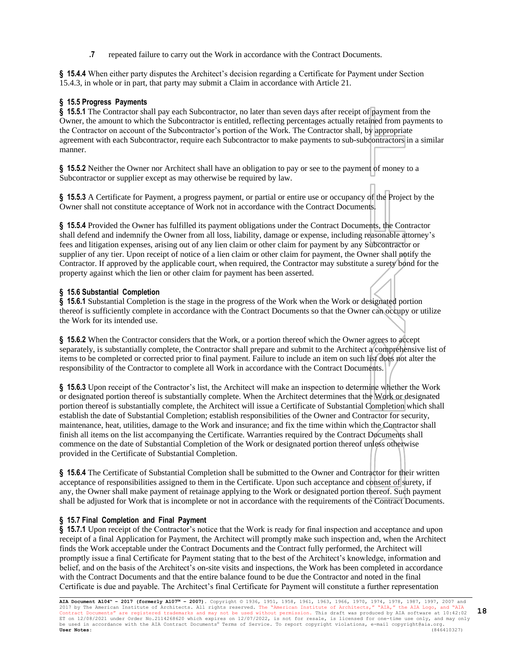**.7** repeated failure to carry out the Work in accordance with the Contract Documents.

**§ 15.4.4** When either party disputes the Architect's decision regarding a Certificate for Payment under Section 15.4.3, in whole or in part, that party may submit a Claim in accordance with Article 21.

# **§ 15.5 Progress Payments**

**§ 15.5.1** The Contractor shall pay each Subcontractor, no later than seven days after receipt of payment from the Owner, the amount to which the Subcontractor is entitled, reflecting percentages actually retained from payments to the Contractor on account of the Subcontractor's portion of the Work. The Contractor shall, by appropriate agreement with each Subcontractor, require each Subcontractor to make payments to sub-subcontractors in a similar manner.

**§ 15.5.2** Neither the Owner nor Architect shall have an obligation to pay or see to the payment of money to a Subcontractor or supplier except as may otherwise be required by law.

**§ 15.5.3** A Certificate for Payment, a progress payment, or partial or entire use or occupancy of the Project by the Owner shall not constitute acceptance of Work not in accordance with the Contract Documents.

**§ 15.5.4** Provided the Owner has fulfilled its payment obligations under the Contract Documents, the Contractor shall defend and indemnify the Owner from all loss, liability, damage or expense, including reasonable attorney's fees and litigation expenses, arising out of any lien claim or other claim for payment by any Subcontractor or supplier of any tier. Upon receipt of notice of a lien claim or other claim for payment, the Owner shall notify the Contractor. If approved by the applicable court, when required, the Contractor may substitute a surety bond for the property against which the lien or other claim for payment has been asserted.

# **§ 15.6 Substantial Completion**

**§ 15.6.1** Substantial Completion is the stage in the progress of the Work when the Work or designated portion thereof is sufficiently complete in accordance with the Contract Documents so that the Owner can occupy or utilize the Work for its intended use.

**§ 15.6.2** When the Contractor considers that the Work, or a portion thereof which the Owner agrees to accept separately, is substantially complete, the Contractor shall prepare and submit to the Architect a comprehensive list of items to be completed or corrected prior to final payment. Failure to include an item on such list does not alter the responsibility of the Contractor to complete all Work in accordance with the Contract Documents.

**§ 15.6.3** Upon receipt of the Contractor's list, the Architect will make an inspection to determine whether the Work or designated portion thereof is substantially complete. When the Architect determines that the Work or designated portion thereof is substantially complete, the Architect will issue a Certificate of Substantial Completion which shall establish the date of Substantial Completion; establish responsibilities of the Owner and Contractor for security, maintenance, heat, utilities, damage to the Work and insurance; and fix the time within which the Contractor shall finish all items on the list accompanying the Certificate. Warranties required by the Contract Documents shall commence on the date of Substantial Completion of the Work or designated portion thereof unless otherwise provided in the Certificate of Substantial Completion.

**§ 15.6.4** The Certificate of Substantial Completion shall be submitted to the Owner and Contractor for their written acceptance of responsibilities assigned to them in the Certificate. Upon such acceptance and consent of surety, if any, the Owner shall make payment of retainage applying to the Work or designated portion thereof. Such payment shall be adjusted for Work that is incomplete or not in accordance with the requirements of the Contract Documents.

# **§ 15.7 Final Completion and Final Payment**

**§ 15.7.1** Upon receipt of the Contractor's notice that the Work is ready for final inspection and acceptance and upon receipt of a final Application for Payment, the Architect will promptly make such inspection and, when the Architect finds the Work acceptable under the Contract Documents and the Contract fully performed, the Architect will promptly issue a final Certificate for Payment stating that to the best of the Architect's knowledge, information and belief, and on the basis of the Architect's on-site visits and inspections, the Work has been completed in accordance with the Contract Documents and that the entire balance found to be due the Contractor and noted in the final Certificate is due and payable. The Architect's final Certificate for Payment will constitute a further representation

**AIA Document A104™ – 2017 (formerly A107™ – 2007).** Copyright © 1936, 1951, 1958, 1961, 1963, 1966, 1970, 1974, 1978, 1987, 1997, 2007 and 2017 by The American Institute of Architects. All rights reserved. The "American Institute of Architects," "AIA," the AIA Logo, and "AIA<br>Contract Documents" are registered trademarks and may not be used without permission. ET on 12/08/2021 under Order No.2114268620 which expires on 12/07/2022, is not for resale, is licensed for one-time use only, and may only<br>be used in accordance with the AIA Contract Documents® Terms of Service. To report **User Notes:** (846410327) **18**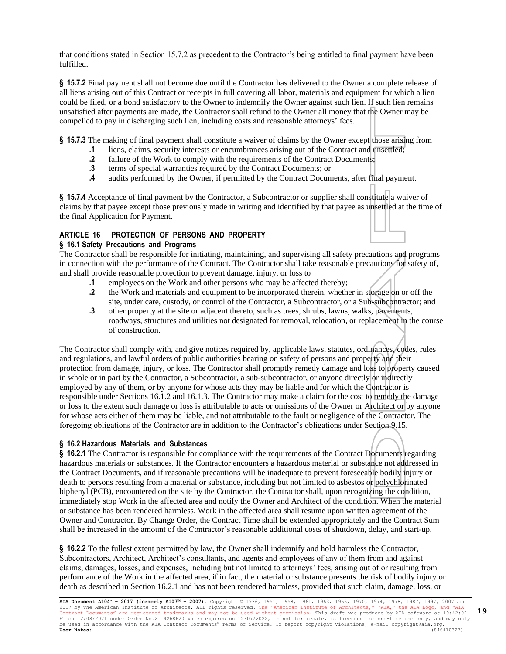that conditions stated in Section 15.7.2 as precedent to the Contractor's being entitled to final payment have been fulfilled.

**§ 15.7.2** Final payment shall not become due until the Contractor has delivered to the Owner a complete release of all liens arising out of this Contract or receipts in full covering all labor, materials and equipment for which a lien could be filed, or a bond satisfactory to the Owner to indemnify the Owner against such lien. If such lien remains unsatisfied after payments are made, the Contractor shall refund to the Owner all money that the Owner may be compelled to pay in discharging such lien, including costs and reasonable attorneys' fees.

**§ 15.7.3** The making of final payment shall constitute a waiver of claims by the Owner except those arising from

- **.1** liens, claims, security interests or encumbrances arising out of the Contract and unsettled;
- **.2** failure of the Work to comply with the requirements of the Contract Documents;
- **.3** terms of special warranties required by the Contract Documents; or
- **.4** audits performed by the Owner, if permitted by the Contract Documents, after final payment.

**§ 15.7.4** Acceptance of final payment by the Contractor, a Subcontractor or supplier shall constitute a waiver of claims by that payee except those previously made in writing and identified by that payee as unsettled at the time of the final Application for Payment.

# **ARTICLE 16 PROTECTION OF PERSONS AND PROPERTY**

### **§ 16.1 Safety Precautions and Programs**

The Contractor shall be responsible for initiating, maintaining, and supervising all safety precautions and programs in connection with the performance of the Contract. The Contractor shall take reasonable precautions for safety of, and shall provide reasonable protection to prevent damage, injury, or loss to

- **.1** employees on the Work and other persons who may be affected thereby;
- **.2** the Work and materials and equipment to be incorporated therein, whether in storage on or off the site, under care, custody, or control of the Contractor, a Subcontractor, or a Sub-subcontractor; and
- **.3** other property at the site or adjacent thereto, such as trees, shrubs, lawns, walks, pavements, roadways, structures and utilities not designated for removal, relocation, or replacement in the course of construction.

The Contractor shall comply with, and give notices required by, applicable laws, statutes, ordinances, codes, rules and regulations, and lawful orders of public authorities bearing on safety of persons and property and their protection from damage, injury, or loss. The Contractor shall promptly remedy damage and loss to property caused in whole or in part by the Contractor, a Subcontractor, a sub-subcontractor, or anyone directly or indirectly employed by any of them, or by anyone for whose acts they may be liable and for which the Contractor is responsible under Sections 16.1.2 and 16.1.3. The Contractor may make a claim for the cost to remedy the damage or loss to the extent such damage or loss is attributable to acts or omissions of the Owner or Architect or by anyone for whose acts either of them may be liable, and not attributable to the fault or negligence of the Contractor. The foregoing obligations of the Contractor are in addition to the Contractor's obligations under Section 9.15.

#### **§ 16.2 Hazardous Materials and Substances**

**§ 16.2.1** The Contractor is responsible for compliance with the requirements of the Contract Documents regarding hazardous materials or substances. If the Contractor encounters a hazardous material or substance not addressed in the Contract Documents, and if reasonable precautions will be inadequate to prevent foreseeable bodily injury or death to persons resulting from a material or substance, including but not limited to asbestos or polychlorinated biphenyl (PCB), encountered on the site by the Contractor, the Contractor shall, upon recognizing the condition, immediately stop Work in the affected area and notify the Owner and Architect of the condition. When the material or substance has been rendered harmless, Work in the affected area shall resume upon written agreement of the Owner and Contractor. By Change Order, the Contract Time shall be extended appropriately and the Contract Sum shall be increased in the amount of the Contractor's reasonable additional costs of shutdown, delay, and start-up.

**§ 16.2.2** To the fullest extent permitted by law, the Owner shall indemnify and hold harmless the Contractor, Subcontractors, Architect, Architect's consultants, and agents and employees of any of them from and against claims, damages, losses, and expenses, including but not limited to attorneys' fees, arising out of or resulting from performance of the Work in the affected area, if in fact, the material or substance presents the risk of bodily injury or death as described in Section 16.2.1 and has not been rendered harmless, provided that such claim, damage, loss, or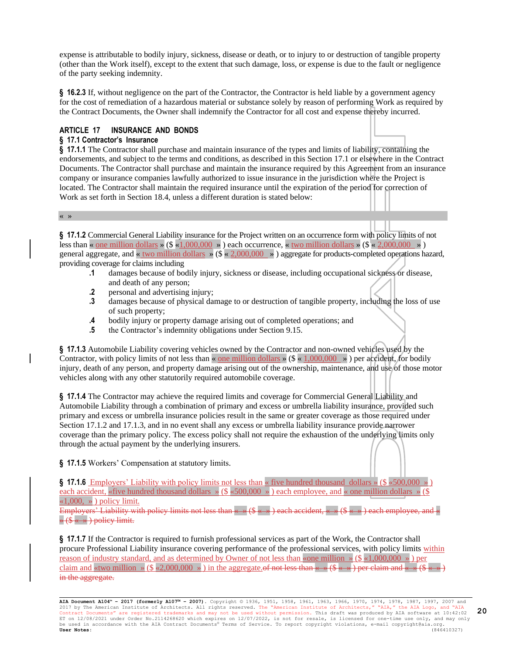expense is attributable to bodily injury, sickness, disease or death, or to injury to or destruction of tangible property (other than the Work itself), except to the extent that such damage, loss, or expense is due to the fault or negligence of the party seeking indemnity.

**§ 16.2.3** If, without negligence on the part of the Contractor, the Contractor is held liable by a government agency for the cost of remediation of a hazardous material or substance solely by reason of performing Work as required by the Contract Documents, the Owner shall indemnify the Contractor for all cost and expense thereby incurred.

### **ARTICLE 17 INSURANCE AND BONDS**

#### **§ 17.1 Contractor's Insurance**

« »

**§ 17.1.1** The Contractor shall purchase and maintain insurance of the types and limits of liability, containing the endorsements, and subject to the terms and conditions, as described in this Section 17.1 or elsewhere in the Contract Documents. The Contractor shall purchase and maintain the insurance required by this Agreement from an insurance company or insurance companies lawfully authorized to issue insurance in the jurisdiction where the Project is located. The Contractor shall maintain the required insurance until the expiration of the period for correction of Work as set forth in Section 18.4, unless a different duration is stated below:

**§ 17.1.2** Commercial General Liability insurance for the Project written on an occurrence form with policy limits of not less than « one million dollars » (\$  $*(1,000,000)$  ») each occurrence, « two million dollars » (\$  $*(2,000,000)$  ») general aggregate, and « two million dollars » (\$ « 2,000,000 » ) aggregate for products-completed operations hazard, providing coverage for claims including

- **.1** damages because of bodily injury, sickness or disease, including occupational sickness or disease, and death of any person;
- **.2** personal and advertising injury;
- **.3** damages because of physical damage to or destruction of tangible property, including the loss of use of such property;
- **.4** bodily injury or property damage arising out of completed operations; and
- **.5** the Contractor's indemnity obligations under Section 9.15.

**§ 17.1.3** Automobile Liability covering vehicles owned by the Contractor and non-owned vehicles used by the Contractor, with policy limits of not less than « one million dollars » ( $\frac{1}{2}$  « 1,000,000 ») per accident, for bodily injury, death of any person, and property damage arising out of the ownership, maintenance, and use of those motor vehicles along with any other statutorily required automobile coverage.

**§ 17.1.4** The Contractor may achieve the required limits and coverage for Commercial General Liability and Automobile Liability through a combination of primary and excess or umbrella liability insurance, provided such primary and excess or umbrella insurance policies result in the same or greater coverage as those required under Section 17.1.2 and 17.1.3, and in no event shall any excess or umbrella liability insurance provide narrower coverage than the primary policy. The excess policy shall not require the exhaustion of the underlying limits only through the actual payment by the underlying insurers.

**§ 17.1.5** Workers' Compensation at statutory limits.

**§ 17.1.6** Employers' Liability with policy limits not less than « five hundred thousand dollars » (\$ «500,000 » ) each accident, «five hundred thousand dollars » (\$ «500,000 ») each employee, and « one million dollars » (\$  $\ll 1,000, \gg$ ) policy limit.

Employers' Liability with policy limits not less than  $\kappa \to (\hat{\mathcal{S}} \cdot \kappa \to)$  each accident,  $\kappa \to (\hat{\mathcal{S}} \cdot \kappa \to)$  each employee, and  $\kappa$  $\rightarrow$  (\$  $\leftarrow \rightarrow$  ) policy limit.

**§ 17.1.7** If the Contractor is required to furnish professional services as part of the Work, the Contractor shall procure Professional Liability insurance covering performance of the professional services, with policy limits within reason of industry standard, and as determined by Owner of not less than «one million » ( $\frac{\sqrt{8} \times 1,000,000 \times \text{per}}{8}$ ) per claim and «two million » (\$ «2,000,000 ») in the aggregate.of not less than « » (\$ « ») per claim and « » in the aggregate.

**AIA Document A104™ – 2017 (formerly A107™ – 2007).** Copyright © 1936, 1951, 1958, 1961, 1963, 1966, 1970, 1974, 1978, 1987, 1997, 2007 and 2017 by The American Institute of Architects. All rights reserved. The "American Institute of Architects," "AIA," the AIA Logo, and "AIA<br>Contract Documents" are registered trademarks and may not be used without permission. ET on 12/08/2021 under Order No.2114268620 which expires on 12/07/2022, is not for resale, is licensed for one-time use only, and may only<br>be used in accordance with the AIA Contract Documents® Terms of Service. To report **User Notes:** (846410327)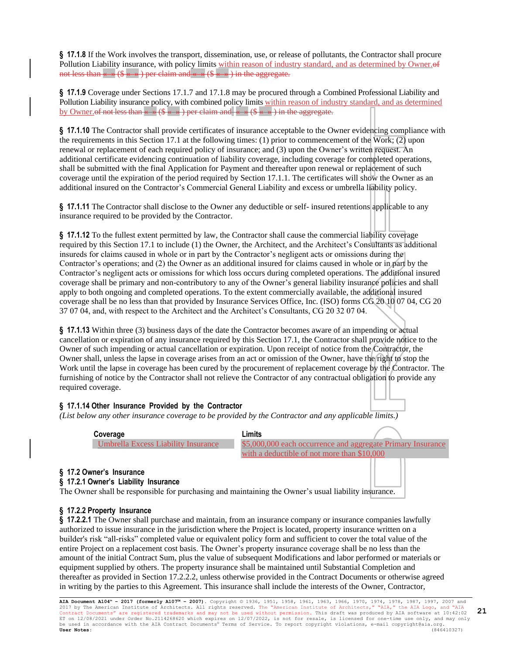**§ 17.1.8** If the Work involves the transport, dissemination, use, or release of pollutants, the Contractor shall procure Pollution Liability insurance, with policy limits within reason of industry standard, and as determined by Owner.of not less than  $\leftarrow \rightarrow (\$ \leftarrow \rightarrow)$  per claim and  $\leftarrow \rightarrow (\$ \leftarrow \rightarrow)$  in the aggregate.

**§ 17.1.9** Coverage under Sections 17.1.7 and 17.1.8 may be procured through a Combined Professional Liability and Pollution Liability insurance policy, with combined policy limits within reason of industry standard, and as determined by Owner.of not less than  $\leftarrow \ast (\$ \leftarrow \ast)$  per claim and  $\leftarrow \ast (\$ \leftarrow \ast)$  in the aggregate.

**§ 17.1.10** The Contractor shall provide certificates of insurance acceptable to the Owner evidencing compliance with the requirements in this Section 17.1 at the following times: (1) prior to commencement of the Work; (2) upon renewal or replacement of each required policy of insurance; and (3) upon the Owner's written request. An additional certificate evidencing continuation of liability coverage, including coverage for completed operations, shall be submitted with the final Application for Payment and thereafter upon renewal or replacement of such coverage until the expiration of the period required by Section 17.1.1. The certificates will show the Owner as an additional insured on the Contractor's Commercial General Liability and excess or umbrella liability policy.

**§ 17.1.11** The Contractor shall disclose to the Owner any deductible or self- insured retentions applicable to any insurance required to be provided by the Contractor.

**§ 17.1.12** To the fullest extent permitted by law, the Contractor shall cause the commercial liability coverage required by this Section 17.1 to include (1) the Owner, the Architect, and the Architect's Consultants as additional insureds for claims caused in whole or in part by the Contractor's negligent acts or omissions during the Contractor's operations; and (2) the Owner as an additional insured for claims caused in whole or in part by the Contractor's negligent acts or omissions for which loss occurs during completed operations. The additional insured coverage shall be primary and non-contributory to any of the Owner's general liability insurance policies and shall apply to both ongoing and completed operations. To the extent commercially available, the additional insured coverage shall be no less than that provided by Insurance Services Office, Inc. (ISO) forms CG 20 10 07 04, CG 20 37 07 04, and, with respect to the Architect and the Architect's Consultants, CG 20 32 07 04.

**§ 17.1.13** Within three (3) business days of the date the Contractor becomes aware of an impending or actual cancellation or expiration of any insurance required by this Section 17.1, the Contractor shall provide notice to the Owner of such impending or actual cancellation or expiration. Upon receipt of notice from the Contractor, the Owner shall, unless the lapse in coverage arises from an act or omission of the Owner, have the right to stop the Work until the lapse in coverage has been cured by the procurement of replacement coverage by the Contractor. The furnishing of notice by the Contractor shall not relieve the Contractor of any contractual obligation to provide any required coverage.

#### **§ 17.1.14 Other Insurance Provided by the Contractor**

*(List below any other insurance coverage to be provided by the Contractor and any applicable limits.)*

**Coverage Limits**

Umbrella Excess Liability Insurance \$5,000,000 each occurrence and aggregate Primary Insurance with a deductible of not more than \$10,000

#### **§ 17.2 Owner's Insurance**

#### **§ 17.2.1 Owner's Liability Insurance**

The Owner shall be responsible for purchasing and maintaining the Owner's usual liability insurance.

#### **§ 17.2.2 Property Insurance**

**§ 17.2.2.1** The Owner shall purchase and maintain, from an insurance company or insurance companies lawfully authorized to issue insurance in the jurisdiction where the Project is located, property insurance written on a builder's risk "all-risks" completed value or equivalent policy form and sufficient to cover the total value of the entire Project on a replacement cost basis. The Owner's property insurance coverage shall be no less than the amount of the initial Contract Sum, plus the value of subsequent Modifications and labor performed or materials or equipment supplied by others. The property insurance shall be maintained until Substantial Completion and thereafter as provided in Section 17.2.2.2, unless otherwise provided in the Contract Documents or otherwise agreed in writing by the parties to this Agreement. This insurance shall include the interests of the Owner, Contractor,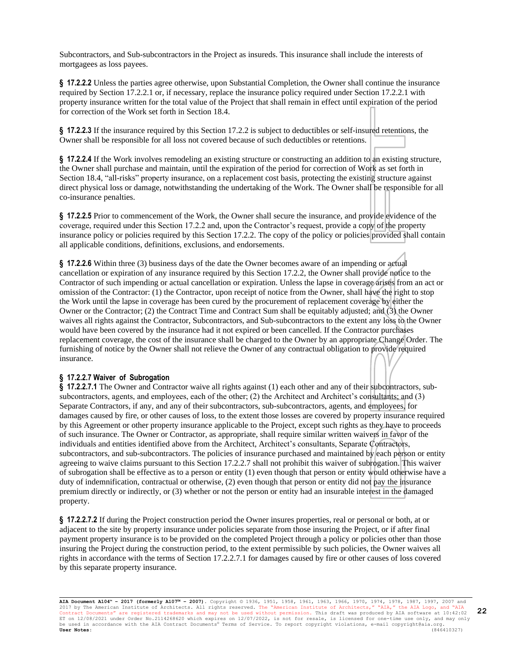Subcontractors, and Sub-subcontractors in the Project as insureds. This insurance shall include the interests of mortgagees as loss payees.

**§ 17.2.2.2** Unless the parties agree otherwise, upon Substantial Completion, the Owner shall continue the insurance required by Section 17.2.2.1 or, if necessary, replace the insurance policy required under Section 17.2.2.1 with property insurance written for the total value of the Project that shall remain in effect until expiration of the period for correction of the Work set forth in Section 18.4.

**§ 17.2.2.3** If the insurance required by this Section 17.2.2 is subject to deductibles or self-insured retentions, the Owner shall be responsible for all loss not covered because of such deductibles or retentions.

**§ 17.2.2.4** If the Work involves remodeling an existing structure or constructing an addition to an existing structure, the Owner shall purchase and maintain, until the expiration of the period for correction of Work as set forth in Section 18.4, "all-risks" property insurance, on a replacement cost basis, protecting the existing structure against direct physical loss or damage, notwithstanding the undertaking of the Work. The Owner shall be responsible for all co-insurance penalties.

**§ 17.2.2.5** Prior to commencement of the Work, the Owner shall secure the insurance, and provide evidence of the coverage, required under this Section 17.2.2 and, upon the Contractor's request, provide a copy of the property insurance policy or policies required by this Section 17.2.2. The copy of the policy or policies provided shall contain all applicable conditions, definitions, exclusions, and endorsements.

**§ 17.2.2.6** Within three (3) business days of the date the Owner becomes aware of an impending or actual cancellation or expiration of any insurance required by this Section 17.2.2, the Owner shall provide notice to the Contractor of such impending or actual cancellation or expiration. Unless the lapse in coverage arises from an act or omission of the Contractor: (1) the Contractor, upon receipt of notice from the Owner, shall have the right to stop the Work until the lapse in coverage has been cured by the procurement of replacement coverage by either the Owner or the Contractor; (2) the Contract Time and Contract Sum shall be equitably adjusted; and (3) the Owner waives all rights against the Contractor, Subcontractors, and Sub-subcontractors to the extent any loss to the Owner would have been covered by the insurance had it not expired or been cancelled. If the Contractor purchases replacement coverage, the cost of the insurance shall be charged to the Owner by an appropriate Change Order. The furnishing of notice by the Owner shall not relieve the Owner of any contractual obligation to provide required insurance.

#### **§ 17.2.2.7 Waiver of Subrogation**

**§ 17.2.2.7.1** The Owner and Contractor waive all rights against (1) each other and any of their subcontractors, subsubcontractors, agents, and employees, each of the other; (2) the Architect and Architect's consultants; and (3) Separate Contractors, if any, and any of their subcontractors, sub-subcontractors, agents, and employees, for damages caused by fire, or other causes of loss, to the extent those losses are covered by property insurance required by this Agreement or other property insurance applicable to the Project, except such rights as they have to proceeds of such insurance. The Owner or Contractor, as appropriate, shall require similar written waivers in favor of the individuals and entities identified above from the Architect, Architect's consultants, Separate Contractors, subcontractors, and sub-subcontractors. The policies of insurance purchased and maintained by each person or entity agreeing to waive claims pursuant to this Section 17.2.2.7 shall not prohibit this waiver of subrogation. This waiver of subrogation shall be effective as to a person or entity (1) even though that person or entity would otherwise have a duty of indemnification, contractual or otherwise, (2) even though that person or entity did not pay the insurance premium directly or indirectly, or (3) whether or not the person or entity had an insurable interest in the damaged property.

**§ 17.2.2.7.2** If during the Project construction period the Owner insures properties, real or personal or both, at or adjacent to the site by property insurance under policies separate from those insuring the Project, or if after final payment property insurance is to be provided on the completed Project through a policy or policies other than those insuring the Project during the construction period, to the extent permissible by such policies, the Owner waives all rights in accordance with the terms of Section 17.2.2.7.1 for damages caused by fire or other causes of loss covered by this separate property insurance.

**AIA Document A104™ – 2017 (formerly A107™ – 2007).** Copyright © 1936, 1951, 1958, 1961, 1963, 1966, 1970, 1974, 1978, 1987, 1997, 2007 and 2017 by The American Institute of Architects. All rights reserved. The "American Institute of Architects," "AIA," the AIA Logo, and "AIA<br>Contract Documents" are registered trademarks and may not be used without permission. ET on 12/08/2021 under Order No.2114268620 which expires on 12/07/2022, is not for resale, is licensed for one-time use only, and may only<br>be used in accordance with the AIA Contract Documents® Terms of Service. To report **User Notes:** (846410327)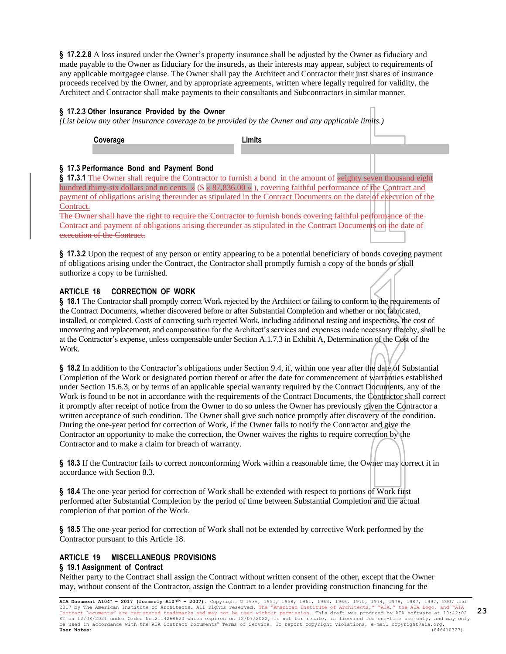**§ 17.2.2.8** A loss insured under the Owner's property insurance shall be adjusted by the Owner as fiduciary and made payable to the Owner as fiduciary for the insureds, as their interests may appear, subject to requirements of any applicable mortgagee clause. The Owner shall pay the Architect and Contractor their just shares of insurance proceeds received by the Owner, and by appropriate agreements, written where legally required for validity, the Architect and Contractor shall make payments to their consultants and Subcontractors in similar manner.

# **§ 17.2.3 Other Insurance Provided by the Owner**

*(List below any other insurance coverage to be provided by the Owner and any applicable limits.)*

**Coverage Limits**

# **§ 17.3 Performance Bond and Payment Bond**

**§ 17.3.1** The Owner shall require the Contractor to furnish a bond in the amount of «eighty seven thousand eight hundred thirty-six dollars and no cents » (\$  $\ltimes$  87,836.00 »), covering faithful performance of the Contract and payment of obligations arising thereunder as stipulated in the Contract Documents on the date of execution of the Contract.

The Owner shall have the right to require the Contractor to furnish bonds covering faithful performance of the Contract and payment of obligations arising thereunder as stipulated in the Contract Documents on the date of execution of the Contract.

**§ 17.3.2** Upon the request of any person or entity appearing to be a potential beneficiary of bonds covering payment of obligations arising under the Contract, the Contractor shall promptly furnish a copy of the bonds or shall authorize a copy to be furnished.

#### **ARTICLE 18 CORRECTION OF WORK**

**§ 18.1** The Contractor shall promptly correct Work rejected by the Architect or failing to conform to the requirements of the Contract Documents, whether discovered before or after Substantial Completion and whether or not fabricated, installed, or completed. Costs of correcting such rejected Work, including additional testing and inspections, the cost of uncovering and replacement, and compensation for the Architect's services and expenses made necessary thereby, shall be at the Contractor's expense, unless compensable under Section A.1.7.3 in Exhibit A, Determination of the Cost of the Work.

**§ 18.2** In addition to the Contractor's obligations under Section 9.4, if, within one year after the date of Substantial Completion of the Work or designated portion thereof or after the date for commencement of warranties established under Section 15.6.3, or by terms of an applicable special warranty required by the Contract Documents, any of the Work is found to be not in accordance with the requirements of the Contract Documents, the Contractor shall correct it promptly after receipt of notice from the Owner to do so unless the Owner has previously given the Contractor a written acceptance of such condition. The Owner shall give such notice promptly after discovery of the condition. During the one-year period for correction of Work, if the Owner fails to notify the Contractor and give the Contractor an opportunity to make the correction, the Owner waives the rights to require correction by the Contractor and to make a claim for breach of warranty.

**§ 18.3** If the Contractor fails to correct nonconforming Work within a reasonable time, the Owner may correct it in accordance with Section 8.3.

**§ 18.4** The one-year period for correction of Work shall be extended with respect to portions of Work first performed after Substantial Completion by the period of time between Substantial Completion and the actual completion of that portion of the Work.

**§ 18.5** The one-year period for correction of Work shall not be extended by corrective Work performed by the Contractor pursuant to this Article 18.

# **ARTICLE 19 MISCELLANEOUS PROVISIONS**

#### **§ 19.1 Assignment of Contract**

Neither party to the Contract shall assign the Contract without written consent of the other, except that the Owner may, without consent of the Contractor, assign the Contract to a lender providing construction financing for the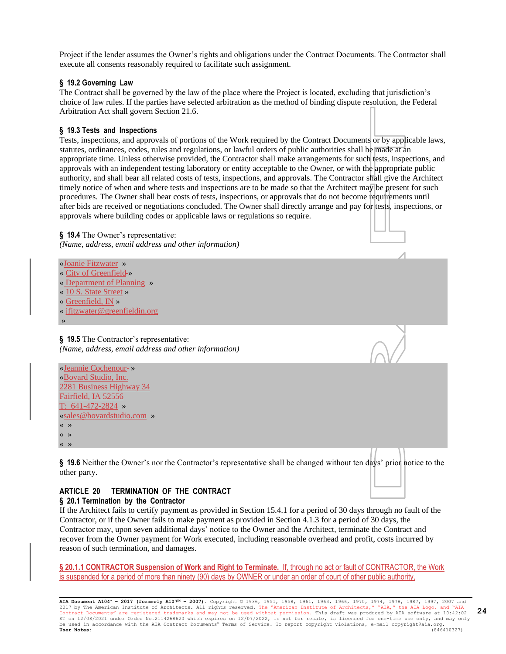Project if the lender assumes the Owner's rights and obligations under the Contract Documents. The Contractor shall execute all consents reasonably required to facilitate such assignment.

#### **§ 19.2 Governing Law**

The Contract shall be governed by the law of the place where the Project is located, excluding that jurisdiction's choice of law rules. If the parties have selected arbitration as the method of binding dispute resolution, the Federal Arbitration Act shall govern Section 21.6.

#### **§ 19.3 Tests and Inspections**

Tests, inspections, and approvals of portions of the Work required by the Contract Documents or by applicable laws, statutes, ordinances, codes, rules and regulations, or lawful orders of public authorities shall be made at an appropriate time. Unless otherwise provided, the Contractor shall make arrangements for such tests, inspections, and approvals with an independent testing laboratory or entity acceptable to the Owner, or with the appropriate public authority, and shall bear all related costs of tests, inspections, and approvals. The Contractor shall give the Architect timely notice of when and where tests and inspections are to be made so that the Architect may be present for such procedures. The Owner shall bear costs of tests, inspections, or approvals that do not become requirements until after bids are received or negotiations concluded. The Owner shall directly arrange and pay for tests, inspections, or approvals where building codes or applicable laws or regulations so require.

**§ 19.4** The Owner's representative: *(Name, address, email address and other information)*

«Joanie Fitzwater » « City of Greenfield-» « Department of Planning » « 10 S. State Street » « Greenfield, IN » [« jfitzwater@greenfieldin.org](mailto:jfitzwater@greenfieldin.org) »

**§ 19.5** The Contractor's representative: *(Name, address, email address and other information)*

«Jeannie Cochenour-» «Bovard Studio, Inc. 2281 Business Highway 34 Fairfield, IA 52556 T: 641-472-2824 » «sales@bovardstudio.com » « »

« » « »

**§ 19.6** Neither the Owner's nor the Contractor's representative shall be changed without ten days' prior notice to the other party.

# **ARTICLE 20 TERMINATION OF THE CONTRACT**

#### **§ 20.1 Termination by the Contractor**

If the Architect fails to certify payment as provided in Section 15.4.1 for a period of 30 days through no fault of the Contractor, or if the Owner fails to make payment as provided in Section 4.1.3 for a period of 30 days, the Contractor may, upon seven additional days' notice to the Owner and the Architect, terminate the Contract and recover from the Owner payment for Work executed, including reasonable overhead and profit, costs incurred by reason of such termination, and damages.

**§ 20.1.1 CONTRACTOR Suspension of Work and Right to Terminate.** If, through no act or fault of CONTRACTOR, the Work is suspended for a period of more than ninety (90) days by OWNER or under an order of court of other public authority,

**AIA Document A104™ – 2017 (formerly A107™ – 2007).** Copyright © 1936, 1951, 1958, 1961, 1963, 1966, 1970, 1974, 1978, 1987, 1997, 2007 and 2017 by The American Institute of Architects. All rights reserved. The "American Institute of Architects," "AIA," the AIA Logo, and "AIA<br>Contract Documents" are registered trademarks and may not be used without permission. Contract Documents" are registered trademarks and may not be used without permission. This draft was produced by AIA software at 10:42:02<br>ET on 12/08/2021 under Order No.2114268620 which expires on 12/07/2022, is not for r be used in accordance with the AIA Contract Documents® Terms of Service. To report copyright violations, e-mail copyright@aia.org.<br> **User Notes:** (846410327) **User Notes:** (846410327)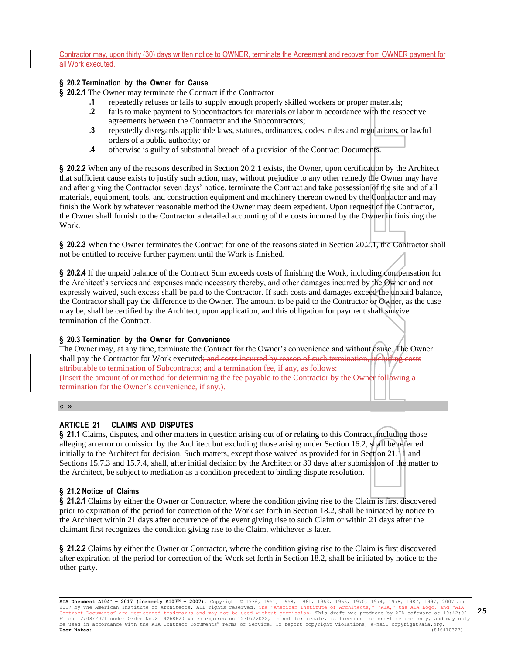Contractor may, upon thirty (30) days written notice to OWNER, terminate the Agreement and recover from OWNER payment for all Work executed.

#### **§ 20.2 Termination by the Owner for Cause**

**§ 20.2.1** The Owner may terminate the Contract if the Contractor

- **.1** repeatedly refuses or fails to supply enough properly skilled workers or proper materials;
	- **.2** fails to make payment to Subcontractors for materials or labor in accordance with the respective agreements between the Contractor and the Subcontractors;
	- **.3** repeatedly disregards applicable laws, statutes, ordinances, codes, rules and regulations, or lawful orders of a public authority; or
	- **.4** otherwise is guilty of substantial breach of a provision of the Contract Documents.

**§ 20.2.2** When any of the reasons described in Section 20.2.1 exists, the Owner, upon certification by the Architect that sufficient cause exists to justify such action, may, without prejudice to any other remedy the Owner may have and after giving the Contractor seven days' notice, terminate the Contract and take possession of the site and of all materials, equipment, tools, and construction equipment and machinery thereon owned by the Contractor and may finish the Work by whatever reasonable method the Owner may deem expedient. Upon request of the Contractor, the Owner shall furnish to the Contractor a detailed accounting of the costs incurred by the Owner in finishing the Work.

**§ 20.2.3** When the Owner terminates the Contract for one of the reasons stated in Section 20.2.1, the Contractor shall not be entitled to receive further payment until the Work is finished.

**§ 20.2.4** If the unpaid balance of the Contract Sum exceeds costs of finishing the Work, including compensation for the Architect's services and expenses made necessary thereby, and other damages incurred by the Owner and not expressly waived, such excess shall be paid to the Contractor. If such costs and damages exceed the unpaid balance, the Contractor shall pay the difference to the Owner. The amount to be paid to the Contractor or Owner, as the case may be, shall be certified by the Architect, upon application, and this obligation for payment shall survive termination of the Contract.

#### **§ 20.3 Termination by the Owner for Convenience**

The Owner may, at any time, terminate the Contract for the Owner's convenience and without cause. The Owner shall pay the Contractor for Work executed; and costs incurred by reason of such termination, including costs including costs including costs including costs including costs including costs including costs including costs. attributable to termination of Subcontracts; and a termination fee, if any, as follows: (Insert the amount of or method for determining the fee payable to the Contractor by the Owner following a termination for the Owner's convenience, if any.).

#### « »

# **ARTICLE 21 CLAIMS AND DISPUTES**

**§ 21.1** Claims, disputes, and other matters in question arising out of or relating to this Contract, including those alleging an error or omission by the Architect but excluding those arising under Section 16.2, shall be referred initially to the Architect for decision. Such matters, except those waived as provided for in Section 21.11 and Sections 15.7.3 and 15.7.4, shall, after initial decision by the Architect or 30 days after submission of the matter to the Architect, be subject to mediation as a condition precedent to binding dispute resolution.

# **§ 21.2 Notice of Claims**

**§ 21.2.1** Claims by either the Owner or Contractor, where the condition giving rise to the Claim is first discovered prior to expiration of the period for correction of the Work set forth in Section 18.2, shall be initiated by notice to the Architect within 21 days after occurrence of the event giving rise to such Claim or within 21 days after the claimant first recognizes the condition giving rise to the Claim, whichever is later.

**§ 21.2.2** Claims by either the Owner or Contractor, where the condition giving rise to the Claim is first discovered after expiration of the period for correction of the Work set forth in Section 18.2, shall be initiated by notice to the other party.

**AIA Document A104™ – 2017 (formerly A107™ – 2007).** Copyright © 1936, 1951, 1958, 1961, 1963, 1966, 1970, 1974, 1978, 1987, 1997, 2007 and 2017 by The American Institute of Architects. All rights reserved. The "American Institute of Architects," "AIA," the AIA Logo, and "AIA<br>Contract Documents" are registered trademarks and may not be used without permission. ET on 12/08/2021 under Order No.2114268620 which expires on 12/07/2022, is not for resale, is licensed for one-time use only, and may only<br>be used in accordance with the AIA Contract Documents® Terms of Service. To report **User Notes:** (846410327)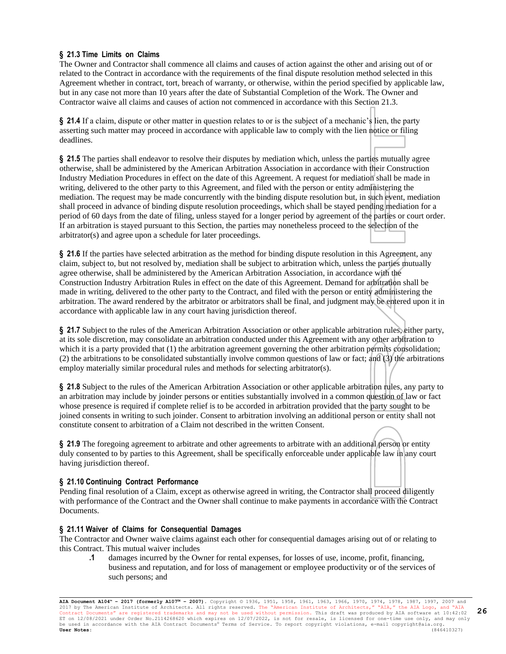# **§ 21.3 Time Limits on Claims**

The Owner and Contractor shall commence all claims and causes of action against the other and arising out of or related to the Contract in accordance with the requirements of the final dispute resolution method selected in this Agreement whether in contract, tort, breach of warranty, or otherwise, within the period specified by applicable law, but in any case not more than 10 years after the date of Substantial Completion of the Work. The Owner and Contractor waive all claims and causes of action not commenced in accordance with this Section 21.3.

**§ 21.4** If a claim, dispute or other matter in question relates to or is the subject of a mechanic's lien, the party asserting such matter may proceed in accordance with applicable law to comply with the lien notice or filing deadlines.

**§ 21.5** The parties shall endeavor to resolve their disputes by mediation which, unless the parties mutually agree otherwise, shall be administered by the American Arbitration Association in accordance with their Construction Industry Mediation Procedures in effect on the date of this Agreement. A request for mediation shall be made in writing, delivered to the other party to this Agreement, and filed with the person or entity administering the mediation. The request may be made concurrently with the binding dispute resolution but, in such event, mediation shall proceed in advance of binding dispute resolution proceedings, which shall be stayed pending mediation for a period of 60 days from the date of filing, unless stayed for a longer period by agreement of the parties or court order. If an arbitration is stayed pursuant to this Section, the parties may nonetheless proceed to the selection of the arbitrator(s) and agree upon a schedule for later proceedings.

**§ 21.6** If the parties have selected arbitration as the method for binding dispute resolution in this Agreement, any claim, subject to, but not resolved by, mediation shall be subject to arbitration which, unless the parties mutually agree otherwise, shall be administered by the American Arbitration Association, in accordance with the Construction Industry Arbitration Rules in effect on the date of this Agreement. Demand for arbitration shall be made in writing, delivered to the other party to the Contract, and filed with the person or entity administering the arbitration. The award rendered by the arbitrator or arbitrators shall be final, and judgment may be entered upon it in accordance with applicable law in any court having jurisdiction thereof.

**§ 21.7** Subject to the rules of the American Arbitration Association or other applicable arbitration rules, either party, at its sole discretion, may consolidate an arbitration conducted under this Agreement with any other arbitration to which it is a party provided that (1) the arbitration agreement governing the other arbitration permits consolidation; (2) the arbitrations to be consolidated substantially involve common questions of law or fact; and (3) the arbitrations employ materially similar procedural rules and methods for selecting arbitrator(s).

**§ 21.8** Subject to the rules of the American Arbitration Association or other applicable arbitration rules, any party to an arbitration may include by joinder persons or entities substantially involved in a common question of law or fact whose presence is required if complete relief is to be accorded in arbitration provided that the party sought to be joined consents in writing to such joinder. Consent to arbitration involving an additional person or entity shall not constitute consent to arbitration of a Claim not described in the written Consent.

§ 21.9 The foregoing agreement to arbitrate and other agreements to arbitrate with an additional person or entity duly consented to by parties to this Agreement, shall be specifically enforceable under applicable law in any court having jurisdiction thereof.

# **§ 21.10 Continuing Contract Performance**

Pending final resolution of a Claim, except as otherwise agreed in writing, the Contractor shall proceed diligently with performance of the Contract and the Owner shall continue to make payments in accordance with the Contract Documents.

#### **§ 21.11 Waiver of Claims for Consequential Damages**

The Contractor and Owner waive claims against each other for consequential damages arising out of or relating to this Contract. This mutual waiver includes

**.1** damages incurred by the Owner for rental expenses, for losses of use, income, profit, financing, business and reputation, and for loss of management or employee productivity or of the services of such persons; and